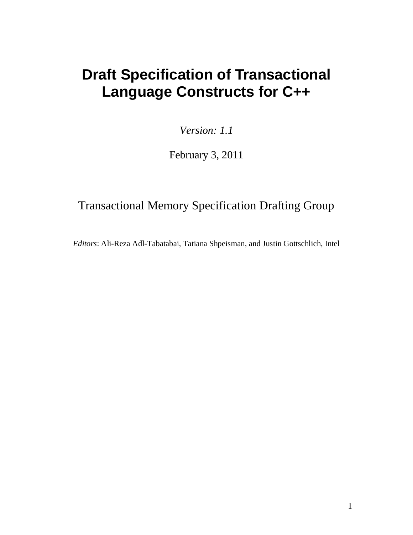# **Draft Specification of Transactional Language Constructs for C++**

*Version: 1.1*

February 3, 2011

# Transactional Memory Specification Drafting Group

*Editors*: Ali-Reza Adl-Tabatabai, Tatiana Shpeisman, and Justin Gottschlich, Intel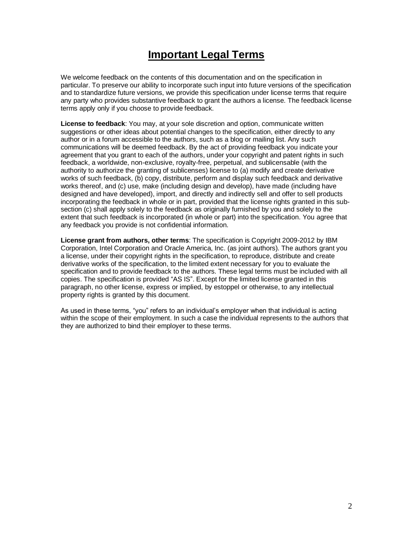## **Important Legal Terms**

We welcome feedback on the contents of this documentation and on the specification in particular. To preserve our ability to incorporate such input into future versions of the specification and to standardize future versions, we provide this specification under license terms that require any party who provides substantive feedback to grant the authors a license. The feedback license terms apply only if you choose to provide feedback.

**License to feedback**: You may, at your sole discretion and option, communicate written suggestions or other ideas about potential changes to the specification, either directly to any author or in a forum accessible to the authors, such as a blog or mailing list. Any such communications will be deemed feedback. By the act of providing feedback you indicate your agreement that you grant to each of the authors, under your copyright and patent rights in such feedback, a worldwide, non-exclusive, royalty-free, perpetual, and sublicensable (with the authority to authorize the granting of sublicenses) license to (a) modify and create derivative works of such feedback, (b) copy, distribute, perform and display such feedback and derivative works thereof, and (c) use, make (including design and develop), have made (including have designed and have developed), import, and directly and indirectly sell and offer to sell products incorporating the feedback in whole or in part, provided that the license rights granted in this subsection (c) shall apply solely to the feedback as originally furnished by you and solely to the extent that such feedback is incorporated (in whole or part) into the specification. You agree that any feedback you provide is not confidential information.

**License grant from authors, other terms**: The specification is Copyright 2009-2012 by IBM Corporation, Intel Corporation and Oracle America, Inc. (as joint authors). The authors grant you a license, under their copyright rights in the specification, to reproduce, distribute and create derivative works of the specification, to the limited extent necessary for you to evaluate the specification and to provide feedback to the authors. These legal terms must be included with all copies. The specification is provided "AS IS". Except for the limited license granted in this paragraph, no other license, express or implied, by estoppel or otherwise, to any intellectual property rights is granted by this document.

As used in these terms, "you" refers to an individual's employer when that individual is acting within the scope of their employment. In such a case the individual represents to the authors that they are authorized to bind their employer to these terms.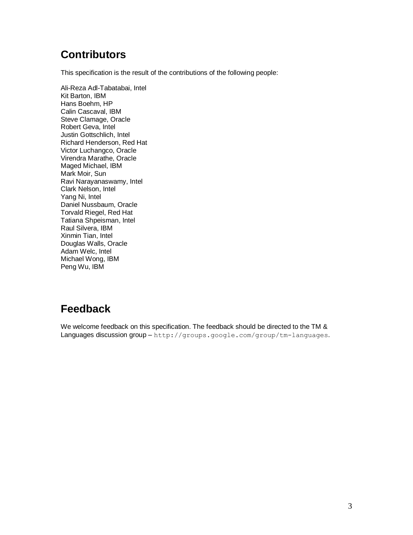# **Contributors**

This specification is the result of the contributions of the following people:

Ali-Reza Adl-Tabatabai, Intel Kit Barton, IBM Hans Boehm, HP Calin Cascaval, IBM Steve Clamage, Oracle Robert Geva, Intel Justin Gottschlich, Intel Richard Henderson, Red Hat Victor Luchangco, Oracle Virendra Marathe, Oracle Maged Michael, IBM Mark Moir, Sun Ravi Narayanaswamy, Intel Clark Nelson, Intel Yang Ni, Intel Daniel Nussbaum, Oracle Torvald Riegel, Red Hat Tatiana Shpeisman, Intel Raul Silvera, IBM Xinmin Tian, Intel Douglas Walls, Oracle Adam Welc, Intel Michael Wong, IBM Peng Wu, IBM

# **Feedback**

We welcome feedback on this specification. The feedback should be directed to the TM & Languages discussion group – http://groups.google.com/group/tm-languages.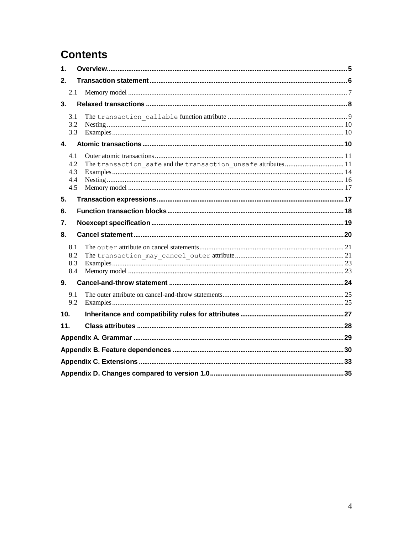# **Contents**

| $\mathbf 1$ |                                 |                                                               |  |  |  |
|-------------|---------------------------------|---------------------------------------------------------------|--|--|--|
| 2.          |                                 |                                                               |  |  |  |
|             | 2.1                             |                                                               |  |  |  |
| 3.          |                                 |                                                               |  |  |  |
|             | 3.1<br>3.2<br>3.3               |                                                               |  |  |  |
| 4.          |                                 |                                                               |  |  |  |
|             | 4.1<br>4.2<br>4.3<br>4.4<br>4.5 | The transaction safe and the transaction unsafe attributes 11 |  |  |  |
| 5.          |                                 |                                                               |  |  |  |
| 6.          |                                 |                                                               |  |  |  |
| 7.          |                                 |                                                               |  |  |  |
| 8.          |                                 |                                                               |  |  |  |
|             | 8.1<br>8.2<br>8.3<br>8.4        |                                                               |  |  |  |
| 9.          |                                 |                                                               |  |  |  |
|             | 9.1<br>9.2                      |                                                               |  |  |  |
| 10.         |                                 |                                                               |  |  |  |
| 11.         |                                 |                                                               |  |  |  |
|             |                                 |                                                               |  |  |  |
|             |                                 |                                                               |  |  |  |
|             |                                 |                                                               |  |  |  |
|             |                                 |                                                               |  |  |  |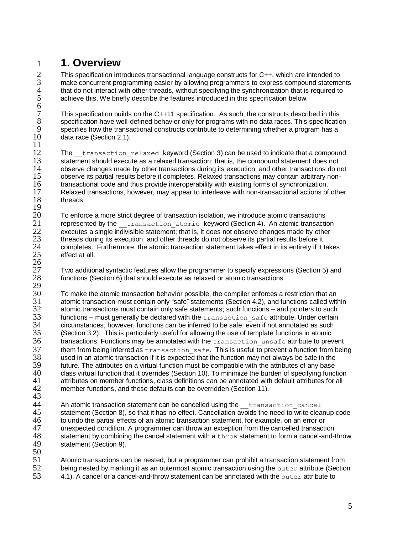# <span id="page-4-0"></span>1 **1. Overview**

2 This specification introduces transactional language constructs for C++, which are intended to<br>3 make concurrent programming easier by allowing programmers to express compound stateme 3 make concurrent programming easier by allowing programmers to express compound statements<br>4 that do not interact with other threads, without specifying the synchronization that is required to 4 that do not interact with other threads, without specifying the synchronization that is required to<br>5 achieve this. We briefly describe the features introduced in this specification below. achieve this. We briefly describe the features introduced in this specification below.

6 7 This specification builds on the C++11 specification. As such, the constructs described in this 3<br>8 specification have well-defined behavior only for programs with no data races. This specification 8 specification have well-defined behavior only for programs with no data races. This specification<br>9 specifies how the transactional constructs contribute to determining whether a program has a 9 specifies how the transactional constructs contribute to determining whether a program has a  $10$  data race (Section 2.1). data race (Section [2.1\)](#page-6-0).

 $\frac{11}{12}$ 

The transaction relaxed keyword (Section [3\)](#page-7-0) can be used to indicate that a compound 13 statement should execute as a relaxed transaction; that is, the compound statement does not 14 observe changes made by other transactions during its execution, and other transactions do n 14 observe changes made by other transactions during its execution, and other transactions do not<br>15 observe its partial results before it completes. Relaxed transactions may contain arbitrary non-15 observe its partial results before it completes. Relaxed transactions may contain arbitrary non-<br>16 transactional code and thus provide interoperability with existing forms of synchronization. 16 transactional code and thus provide interoperability with existing forms of synchronization.<br>17 Relaxed transactions, however, may appear to interleave with non-transactional actions of 17 Relaxed transactions, however, may appear to interleave with non-transactional actions of other 18 threads.

 $\frac{19}{20}$ 20 To enforce a more strict degree of transaction isolation, we introduce atomic transactions<br>21 The presented by the transaction atomic keyword (Section 4). An atomic transactions 21 represented by the transaction atomic keyword (Section [4\)](#page-9-2). An atomic transaction<br>22 executes a single indivisible statement: that is, it does not observe changes made by other executes a single indivisible statement; that is, it does not observe changes made by other<br>23 threads during its execution and other threads do not observe its partial results before it 23 threads during its execution, and other threads do not observe its partial results before it<br>24 completes. Furthermore, the atomic transaction statement takes effect in its entirety if it t 24 completes. Furthermore, the atomic transaction statement takes effect in its entirety if it takes 25 effect at all. effect at all.  $\frac{26}{27}$ 

27 Two additional syntactic features allow the programmer to specify expressions (Section [5\)](#page-16-1) and 28 tunctions (Section 6) that should execute as relaxed or atomic transactions. functions (Section [6\)](#page-17-0) that should execute as relaxed or atomic transactions.

 $\frac{29}{30}$ 30 To make the atomic transaction behavior possible, the compiler enforces a restriction that an 31 atomic transaction must contain only "safe" statements (Section 4.2), and functions called with 31 atomic transaction must contain only "safe" statements (Section [4.2\)](#page-10-1), and functions called within<br>32 atomic transactions must contain only safe statements: such functions – and pointers to such  $32$  atomic transactions must contain only safe statements; such functions – and pointers to such  $33$  functions – must generally be declared with the transaction safe attribute. Under certain  $33$  functions – must generally be declared with the  $\text{transaction\_safe}$  attribute. Under certain  $34$  circumstances, however, functions can be inferred to be safe, even if not annotated as such 34 circumstances, however, functions can be inferred to be safe, even if not annotated as such<br>35 (Section 3.2). This is particularly useful for allowing the use of template functions in atomic (Section 3.2). This is particularly useful for allowing the use of template functions in atomic  $36$  transactions. Functions may be annotated with the  $transaction\_unsafe$  attribute to prevent them from being inferred as  $transaction$  safe. This is useful to prevent a function from being  $37$  them from being inferred as  $transaction\_safe$ . This is useful to prevent a function from being used in an atomic transaction if it is expected that the function may not always be safe in the 38 used in an atomic transaction if it is expected that the function may not always be safe in the 39 future. The attributes on a virtual function must be compatible with the attributes of any base<br>40 class virtual function that it overrides (Section 10) To minimize the burden of specifying funct 40 class virtual function that it overrides (Section 10). To minimize the burden of specifying function 41 attributes on member functions, class definitions can be annotated with default attributes for all attributes for all  $42$  member functions, and these defaults can be overridden (Section 11). member functions, and these defaults can be overridden (Section [11\)](#page-27-0).

43

44 An atomic transaction statement can be cancelled using the  $t$  transaction cancel<br>45 statement (Section 8), so that it has no effect. Cancellation avoids the need to write clear 45 statement (Section [8\)](#page-19-0), so that it has no effect. Cancellation avoids the need to write cleanup code to undo the partial effects of an atomic transaction statement. for example, on an error or 46 to undo the partial effects of an atomic transaction statement, for example, on an error or<br>47 unexpected condition. A programmer can throw an exception from the cancelled transacti 47 unexpected condition. A programmer can throw an exception from the cancelled transaction 48 statement by combining the cancel statement with a throw statement to form a cancel-and-throw 49 statement (Section [9\)](#page-23-0).

 $\frac{50}{51}$ 

51 Atomic transactions can be nested, but a programmer can prohibit a transaction statement from<br>52 being nested by marking it as an outermost atomic transaction using the outer attribute (Sectio 52 being nested by marking it as an outermost atomic transaction using the outer attribute (Section 53  $\qquad$  4.1). A cancel or a cancel-and-throw statement can be annotated with the outer attribute to [4.1\)](#page-10-0). A cancel or a cancel-and-throw statement can be annotated with the outer attribute to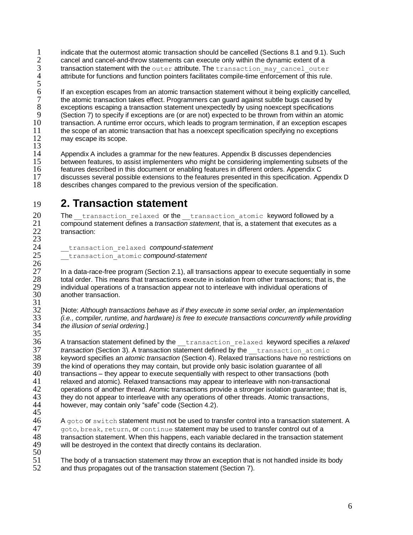1 indicate that the outermost atomic transaction should be cancelled (Sections [8.1](#page-20-0) and [9.1\)](#page-24-0). Such<br>2 cancel and cancel-and-throw statements can execute only within the dynamic extent of a  $2$  cancel and cancel-and-throw statements can execute only within the dynamic extent of a<br>3 **b and transaction statement with the** outer attribute. The transaction may cancel outer 3 transaction statement with the outer attribute. The transaction\_may\_cancel\_outer<br>4 detribute for functions and function pointers facilitates compile-time enforcement of this rule. attribute for functions and function pointers facilitates compile-time enforcement of this rule.

5 6 If an exception escapes from an atomic transaction statement without it being explicitly cancelled, 7 the atomic transaction takes effect. Programmers can guard against subtle bugs caused by<br>8 exceptions escaping a transaction statement unexpectedly by using noexcept specifications 8 exceptions escaping a transaction statement unexpectedly by using noexcept specifications<br>9 (Section 7) to specify if exceptions are (or are not) expected to be thrown from within an ator 9 (Section [7\)](#page-18-0) to specify if exceptions are (or are not) expected to be thrown from within an atomic<br>10 transaction. A runtime error occurs, which leads to program termination, if an exception escapes 10 transaction. A runtime error occurs, which leads to program termination, if an exception escapes<br>11 the scope of an atomic transaction that has a noexcept specification specifying no exceptions 11 the scope of an atomic transaction that has a noexcept specification specifying no exceptions<br>12 may escape its scope. may escape its scope.

 $\frac{13}{14}$ 

14 Appendix A includes a grammar for the new features. Appendix B discusses dependencies<br>15 between features, to assist implementers who might be considering implementing subsets of 15 between features, to assist implementers who might be considering implementing subsets of the 16<br>16 features described in this document or enabling features in different orders. Appendix C 16 features described in this document or enabling features in different orders. Appendix C 17 discusses several possible extensions to the features presented in this specification. Appendix D<br>18 describes changes compared to the previous version of the specification. describes changes compared to the previous version of the specification.

# <span id="page-5-0"></span>19 **2. Transaction statement**

20 The transaction relaxed or the transaction atomic keyword followed by a<br>21 compound statement defines a *transaction statement* that is, a statement that executes as a 21 compound statement defines a *transaction statement*, that is, a statement that executes as a transaction: transaction:  $\frac{23}{24}$ 

24 \_\_transaction\_relaxed *compound-statement*

25 \_\_transaction\_atomic *compound-statement*

 $\frac{26}{27}$ 27 In a data-race-free program (Section [2.1\)](#page-6-0), all transactions appear to execute sequentially in some<br>28 total order. This means that transactions execute in isolation from other transactions; that is, the 28 total order. This means that transactions execute in isolation from other transactions; that is, the individual operations of a transaction appear not to interleave with individual operations of 29 individual operations of a transaction appear not to interleave with individual operations of 30 another transaction. another transaction.  $\frac{31}{32}$ 

32 [Note: *Although transactions behave as if they execute in some serial order, an implementation*  33 *(i.e., compiler, runtime, and hardware) is free to execute transactions concurrently while providing*  34 *the illusion of serial ordering.*]

 $\frac{35}{36}$ A transaction statement defined by the transaction relaxed keyword specifies a *relaxed* **37** *transaction* (Section [3\)](#page-7-0). A transaction statement defined by the <u>transaction</u> atomic<br>38 Reyword specifies an *atomic transaction* (Section 4). Relaxed transactions have no restriction 38 keyword specifies an *atomic transaction* (Section [4\)](#page-9-2). Relaxed transactions have no restrictions on 39 the kind of operations they may contain, but provide only basic isolation guarantee of all<br>40 transactions – they appear to execute sequentially with respect to other transactions (bo 40 transactions – they appear to execute sequentially with respect to other transactions (both<br>41 delayed and atomic). Relayed transactions may appear to interleave with non-transactional 41 relaxed and atomic). Relaxed transactions may appear to interleave with non-transactional 42 operations of another thread. Atomic transactions provide a stronger isolation quarantee: the 42 operations of another thread. Atomic transactions provide a stronger isolation guarantee; that is,<br>43 they do not appear to interleave with any operations of other threads. Atomic transactions, 43 they do not appear to interleave with any operations of other threads. Atomic transactions,<br>44 however, may contain only "safe" code (Section 4.2). however, may contain only "safe" code (Section [4.2\)](#page-10-1).

45<br>46

A goto or switch statement must not be used to transfer control into a transaction statement. A 47 goto, break, return, or continue statement may be used to transfer control out of a 48 transaction statement. When this happens, each variable declared in the transaction statement<br>49 will be destroved in the context that directly contains its declaration. will be destroyed in the context that directly contains its declaration.

 $\frac{50}{51}$ 51 The body of a transaction statement may throw an exception that is not handled inside its body<br>52 and thus propagates out of the transaction statement (Section 7). and thus propagates out of the transaction statement (Section [7\)](#page-18-0).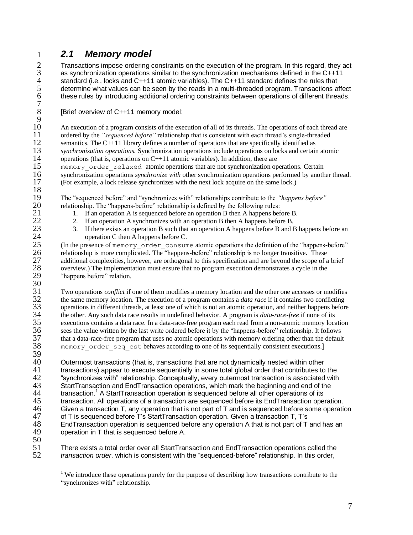### <span id="page-6-0"></span>1 *2.1 Memory model*

2 Transactions impose ordering constraints on the execution of the program. In this regard, they act<br>
as synchronization operations similar to the synchronization mechanisms defined in the C++11<br>
standard (i.e., locks and as synchronization operations similar to the synchronization mechanisms defined in the C++11 standard (i.e., locks and C++11 atomic variables). The C++11 standard defines the rules that determine what values can be seen by the reads in a multi-threaded program. Transactions affect these rules by introducing additional ordering constraints between operations of different threads.

[Brief overview of C++11 memory model:

 $\frac{9}{10}$ 10 An execution of a program consists of the execution of all of its threads. The operations of each thread are<br>11 ordered by the *"sequenced before"* relationship that is consistent with each thread's single-threaded 11 ordered by the *"sequenced before"* relationship that is consistent with each thread's single-threaded<br>12 semantics. The C++11 library defines a number of operations that are specifically identified as 12 semantics. The C++11 library defines a number of operations that are specifically identified as<br>13 synchronization operations. Synchronization operations include operations on locks and certain 13 *synchronization operations*. Synchronization operations include operations on locks and certain atomic<br>14 operations (that is, operations on C++11 atomic variables). In addition, there are operations (that is, operations on  $C+11$  atomic variables). In addition, there are 15 memory\_order\_relaxed atomic operations that are not synchronization operations. Certain 16 synchronization operations *synchronize with* other synchronization operations performed by anoth 16 synchronization operations *synchronize with* other synchronization operations performed by another thread.<br>17 (For example, a lock release synchronizes with the next lock acquire on the same lock.) 17 (For example, a lock release synchronizes with the next lock acquire on the same lock.)  $\frac{18}{19}$ 

19 The "sequenced before" and "synchronizes with" relationships contribute to the *"happens before"*  20 relationship. The "happens-before" relationship is defined by the following rules:<br>21 1. If an operation A is sequenced before an operation B then A happens bef

- 21 1. If an operation A is sequenced before an operation B then A happens before B.<br>22 1. If an operation A synchronizes with an operation B then A happens before B.
- 22 2. If an operation A synchronizes with an operation B then A happens before B.<br>23 15 There exists an operation B such that an operation A happens before B and E
- 23 3. If there exists an operation B such that an operation A happens before B and B happens before an operation C then A happens before C. 24 operation C then A happens before C.<br>25 (In the presence of memory order consum

25 (In the presence of memory\_order\_consume atomic operations the definition of the "happens-before" relationship is more complicated. The "happens-before" relationship is no longer transitive. These 26 relationship is more complicated. The "happens-before" relationship is no longer transitive. These additional complexities, however, are orthogonal to this specification and are beyond the scope of a 27 additional complexities, however, are orthogonal to this specification and are beyond the scope of a brief overview.) The implementation must ensure that no program execution demonstrates a cycle in the 28 overview.) The implementation must ensure that no program execution demonstrates a cycle in the 29 "happens before" relation. "happens before" relation.

 $\frac{30}{31}$ 31 Two operations *conflict* if one of them modifies a memory location and the other one accesses or modifies the same memory location. The execution of a program contains a *data race* if it contains two conflicting 32 the same memory location. The execution of a program contains a *data race* if it contains two conflicting<br>33 operations in different threads, at least one of which is not an atomic operation, and neither happens before 33 operations in different threads, at least one of which is not an atomic operation, and neither happens before<br>34 the other. Any such data race results in undefined behavior. A program is *data-race-free* if none of its 34 the other. Any such data race results in undefined behavior. A program is *data-race-free* if none of its<br>35 executions contains a data race. In a data-race-free program each read from a non-atomic memory local 35 executions contains a data race. In a data-race-free program each read from a non-atomic memory location 36 sees the value written by the last write ordered before it by the "happens-before" relationship. It follows 36 sees the value written by the last write ordered before it by the "happens-before" relationship. It follows<br>37 that a data-race-free program that uses no atomic operations with memory ordering other than the default 37 that a data-race-free program that uses no atomic operations with memory ordering other than the default<br>38 memory order seq cst behaves according to one of its sequentially consistent executions. memory order seq cst behaves according to one of its sequentially consistent executions.]

39<br>40 40 Outermost transactions (that is, transactions that are not dynamically nested within other 41 transactions) appear to execute sequentially in some total global order that contributes to 41 transactions) appear to execute sequentially in some total global order that contributes to the<br>42 five-frances with relationship. Conceptually, every outermost transaction is associated with 42 "synchronizes with" relationship. Conceptually, every outermost transaction is associated with<br>43 StartTransaction and EndTransaction operations, which mark the beginning and end of the 43 StartTransaction and EndTransaction operations, which mark the beginning and end of the transaction  $1$  A StartTransaction operation is sequenced before all other operations of its 44 transaction.<sup>1</sup> A StartTransaction operation is sequenced before all other operations of its 45 transaction. All operations of a transaction are sequenced before its EndTransaction operation.<br>46 Given a transaction T. any operation that is not part of T and is sequenced before some operation 46 Given a transaction T, any operation that is not part of T and is sequenced before some operation 47 of T is sequenced before T's StartTransaction operation. Given a transaction T. T's 47 of T is sequenced before T's StartTransaction operation. Given a transaction T, T's<br>48 EndTransaction operation is sequenced before any operation A that is not part of T 48 EndTransaction operation is sequenced before any operation A that is not part of T and has an operation in T that is sequenced before A. operation in T that is sequenced before A.

 $\overline{a}$ 

5678

 $\frac{50}{51}$ 51 There exists a total order over all StartTransaction and EndTransaction operations called the<br>52 transaction order, which is consistent with the "sequenced-before" relationship. In this order, 52 *transaction order*, which is consistent with the "sequenced-before" relationship. In this order,

<sup>&</sup>lt;sup>1</sup> We introduce these operations purely for the purpose of describing how transactions contribute to the "synchronizes with" relationship.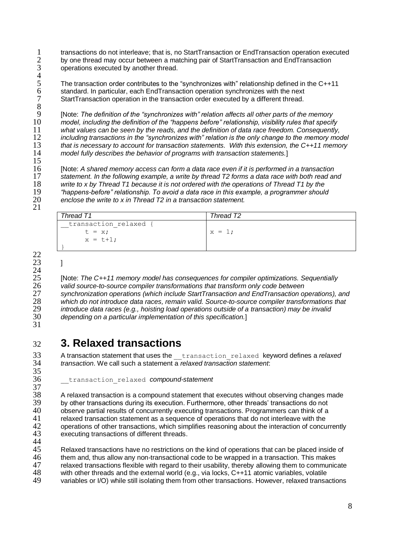1 transactions do not interleave; that is, no StartTransaction or EndTransaction operation executed<br>2 by one thread may occur between a matching pair of StartTransaction and EndTransaction 2 by one thread may occur between a matching pair of StartTransaction and EndTransaction operations executed by another thread. operations executed by another thread.

 $\frac{4}{5}$  6 7 5 The transaction order contributes to the "synchronizes with" relationship defined in the C++11 standard. In particular, each EndTransaction operation synchronizes with the next StartTransaction operation in the transaction order executed by a different thread.

8 [Note: *The definition of the "synchronizes with" relation affects all other parts of the memory model, including the definition of the "happens before" relationship, visibility rules that specify what values can be seen by the reads, and the definition of data race freedom. Consequently, including transactions in the "synchronizes with" relation is the only change to the memory model that is necessary to account for transaction statements. With this extension, the C++11 memory model fully describes the behavior of programs with transaction statements.*]

 [Note: *A shared memory access can form a data race even if it is performed in a transaction statement. In the following example, a write by thread T2 forms a data race with both read and write to x by Thread T1 because it is not ordered with the operations of Thread T1 by the "happens-before" relationship. To avoid a data race in this example, a programmer should*  enclose the write to x in Thread T2 in a *transaction statement*.

| Thread T1                                      | Thread T2 |
|------------------------------------------------|-----------|
| transaction relaxed<br>$t = x$ ;<br>$x = t+1;$ | $x = 1$ ; |
|                                                |           |

23 ]

 $\frac{15}{16}$ 

21

22

 $\frac{24}{25}$ 

<span id="page-7-0"></span>31

 [Note: *The C++11 memory model has consequences for compiler optimizations. Sequentially valid source-to-source compiler transformations that transform only code between synchronization operations (which include StartTransaction and EndTransaction operations), and which do not introduce data races, remain valid. Source-to-source compiler transformations that introduce data races (e.g., hoisting load operations outside of a transaction) may be invalid depending on a particular implementation of this specification.*]

# 32 **3. Relaxed transactions**

33 A transaction statement that uses the *\_\_transaction\_relaxed keyword defines a relaxed*  $34$  *transaction.* We call such a statement a *relaxed transaction statement*. 34 *transaction*. We call such a statement a *relaxed transaction statement*:  $\frac{35}{36}$ 

36 \_\_transaction\_relaxed *compound-statement*

 $\frac{37}{38}$ 38 A relaxed transaction is a compound statement that executes without observing changes made<br>39 by other transactions during its execution. Furthermore, other threads' transactions do not 39 by other transactions during its execution. Furthermore, other threads' transactions do not 40 observe partial results of concurrently executing transactions. Programmers can think of a 40 observe partial results of concurrently executing transactions. Programmers can think of a<br>41 relaxed transaction statement as a sequence of operations that do not interleave with the 41 relaxed transaction statement as a sequence of operations that do not interleave with the 42 operations of other transactions, which simplifies reasoning about the interaction of concurrently<br>43 executing transactions of different threads. executing transactions of different threads.

 $\frac{44}{45}$ 45 Relaxed transactions have no restrictions on the kind of operations that can be placed inside of 46 them and, thus allow any non-transactional code to be wrapped in a transaction. This makes 46 them and, thus allow any non-transactional code to be wrapped in a transaction. This makes<br>47 felaxed transactions flexible with regard to their usability, thereby allowing them to communic 47 relaxed transactions flexible with regard to their usability, thereby allowing them to communicate 48 with other threads and the external world (e.g., via locks, C++11 atomic variables, volatile 48 with other threads and the external world (e.g., via locks, C++11 atomic variables, volatile<br>49 variables or I/O) while still isolating them from other transactions. However, relaxed transa variables or I/O) while still isolating them from other transactions. However, relaxed transactions

8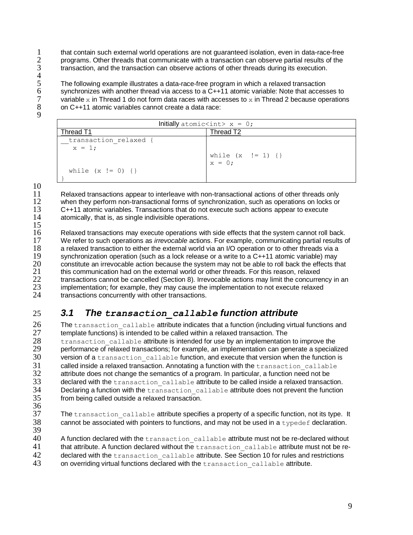1 that contain such external world operations are not guaranteed isolation, even in data-race-free<br>2 programs. Other threads that communicate with a transaction can observe partial results of the 2 programs. Other threads that communicate with a transaction can observe partial results of the transaction, and the transaction can observe actions of other threads during its execution. transaction, and the transaction can observe actions of other threads during its execution.

 $rac{4}{5}$ 

5 The following example illustrates a data-race-free program in which a relaxed transaction<br>6 synchronizes with another thread via access to a C++11 atomic variable: Note that access 6 synchronizes with another thread via access to a C++11 atomic variable: Note that accesses to variable x in Thread 1 do not form data races with accesses to x in Thread 2 because operations  $7$  variable x in Thread 1 do not form data races with accesses to x in Thread 2 because operations<br>8 on C++11 atomic variables cannot create a data race: 8 on C++11 atomic variables cannot create a data race:

9

| Initially atomic $\langle$ int> x = 0; |                                 |  |  |  |
|----------------------------------------|---------------------------------|--|--|--|
| Thread T1                              | Thread T2                       |  |  |  |
| transaction relaxed {<br>$x = 1;$      |                                 |  |  |  |
|                                        | while $(x := 1)$ {}<br>$x = 0;$ |  |  |  |
| while $(x := 0)$ {}                    |                                 |  |  |  |

10

11 Relaxed transactions appear to interleave with non-transactional actions of other threads only<br>12 when they perform non-transactional forms of synchronization, such as operations on locks or 12 when they perform non-transactional forms of synchronization, such as operations on locks or 13 C++11 atomic variables. Transactions that do not execute such actions appear to execute 13 C++11 atomic variables. Transactions that do not execute such actions appear to execute atomically, that is, as single indivisible operations.

 $\frac{15}{16}$ 16 Relaxed transactions may execute operations with side effects that the system cannot roll back.<br>17 We refer to such operations as *irrevocable* actions. For example, communicating partial results of 17 We refer to such operations as *irrevocable* actions. For example, communicating partial results of 18 a relaxed transaction to either the external world via an I/O operation or to other threads via a<br>19 synchronization operation (such as a lock release or a write to a C++11 atomic variable) may 19 synchronization operation (such as a lock release or a write to a C++11 atomic variable) may<br>20 constitute an irrevocable action because the system may not be able to roll back the effects the 20 constitute an irrevocable action because the system may not be able to roll back the effects that 21 this communication had on the external world or other threads. For this reason relaxed 21 this communication had on the external world or other threads. For this reason, relaxed<br>22 transactions cannot be cancelled (Section 8). Irrevocable actions may limit the concurre 22 transactions cannot be cancelled (Section [8\)](#page-19-0). Irrevocable actions may limit the concurrency in an  $23$  implementation: for example, they may cause the implementation to not execute relaxed 23 implementation; for example, they may cause the implementation to not execute relaxed<br>24 transactions concurrently with other transactions transactions concurrently with other transactions.

## <span id="page-8-0"></span>25 *3.1 The transaction\_callable function attribute*

26 The transaction\_callable attribute indicates that a function (including virtual functions and 27 template functions) is intended to be called within a relaxed transaction. The  $27$  template functions) is intended to be called within a relaxed transaction. The 28 transaction\_callable attribute is intended for use by an implementation to improve the<br>29 oerformance of relaxed transactions: for example, an implementation can generate a speciali 29 performance of relaxed transactions; for example, an implementation can generate a specialized<br>30 version of a transaction callable function, and execute that version when the function is  $30$  version of a transaction\_callable function, and execute that version when the function is<br> $31$  called inside a relaxed transaction. Annotating a function with the transaction callable called inside a relaxed transaction. Annotating a function with the transaction callable  $32$  attribute does not change the semantics of a program. In particular, a function need not be  $33$  declared with the transaction callable attribute to be called inside a relaxed transaction 33 declared with the transaction\_callable attribute to be called inside a relaxed transaction.<br>34 Declaring a function with the transaction callable attribute does not prevent the function  $34$  Declaring a function with the  $transaction\_callable$  attribute does not prevent the function from being called outside a relaxed transaction. from being called outside a relaxed transaction.

- 
- 36<br>37 The transaction callable attribute specifies a property of a specific function, not its type. It 38 cannot be associated with pointers to functions, and may not be used in a typedef declaration.
- 39
- A function declared with the transaction callable attribute must not be re-declared without 41 that attribute. A function declared without the transaction callable attribute must not be re-
- 42 declared with the transaction callable attribute. See Section [10](#page-26-0) for rules and restrictions
- 43 on overriding virtual functions declared with the transaction callable attribute.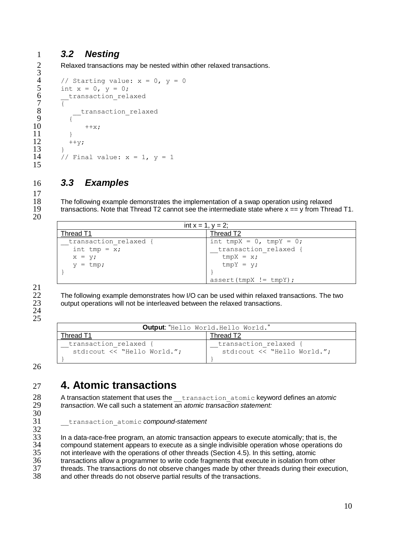### 1 *3.2 Nesting*

<span id="page-9-0"></span>Relaxed transactions may be nested within other relaxed transactions.

```
rac{2}{3}4 // Starting value: x = 0, y = 0<br>5 int x = 0, y = 0;
 5 int x = 0, y = 0;<br>6 transaction rel
  6 transaction relaxed
  7 \frac{1}{3}\begin{array}{c} 8 \\ 9 \end{array} \begin{array}{c} \text{transaction\_relaxed} \end{array}9 {
10 + x;\begin{array}{ccc}\n11 & & & \rightarrow \\
12 & & & +\n\end{array}++y;13 }
14 // Final value: x = 1, y = 115
```
### <span id="page-9-1"></span>16 *3.3 Examples*

18 The following example demonstrates the implementation of a swap operation using relaxed<br>19 transactions. Note that Thread T2 cannot see the intermediate state where x == v from Thre transactions. Note that Thread T2 cannot see the intermediate state where  $x = y$  from Thread T1.

20

17

| int $x = 1$ , $y = 2$ ; |                               |  |  |  |
|-------------------------|-------------------------------|--|--|--|
| Thread T1               | Thread T2                     |  |  |  |
| transaction relaxed {   | int tmpX = $0$ , tmpY = $0$ ; |  |  |  |
| int tmp = $x$ ;         | transaction relaxed {         |  |  |  |
| $x = y;$                | $tmpX = x;$                   |  |  |  |
| $y = tmp;$              | $tmpY = y;$                   |  |  |  |
|                         |                               |  |  |  |
|                         | $assert (tmpX != tmpY);$      |  |  |  |

# $\frac{21}{22}$

22 The following example demonstrates how I/O can be used within relaxed transactions. The two<br>23 output operations will not be interleaved between the relaxed transactions.

- 24
- 25

| Output: "Hello World.Hello World." |                              |  |
|------------------------------------|------------------------------|--|
| read 1                             | Thread T2                    |  |
| transaction relaxed {              | transaction relaxed {        |  |
| std: cout $\lt\lt$ "Hello World.": | std: cout << "Hello World."; |  |
|                                    |                              |  |

26

30<br>31

# <span id="page-9-2"></span>27 **4. Atomic transactions**

28 A transaction statement that uses the <u>transaction</u> atomic keyword defines an *atomic* transaction. We call such a statement an *atomic transaction statement*: *transaction*. We call such a statement an *atomic transaction statement:* 

output operations will not be interleaved between the relaxed transactions.

31 \_\_transaction\_atomic *compound-statement*

32<br>33 33 In a data-race-free program, an atomic transaction appears to execute atomically; that is, the 34 compound statement appears to execute as a single indivisible operation whose operations do<br>35 on tinterleave with the operations of other threads (Section 4.5). In this setting, atomic 35 not interleave with the operations of other threads (Section [4.5\)](#page-16-0). In this setting, atomic<br>36 transactions allow a programmer to write code fragments that execute in isolation from 36 transactions allow a programmer to write code fragments that execute in isolation from other<br>37 threads. The transactions do not observe changes made by other threads during their execut 37 threads. The transactions do not observe changes made by other threads during their execution,<br>38 and other threads do not observe partial results of the transactions.

and other threads do not observe partial results of the transactions.

10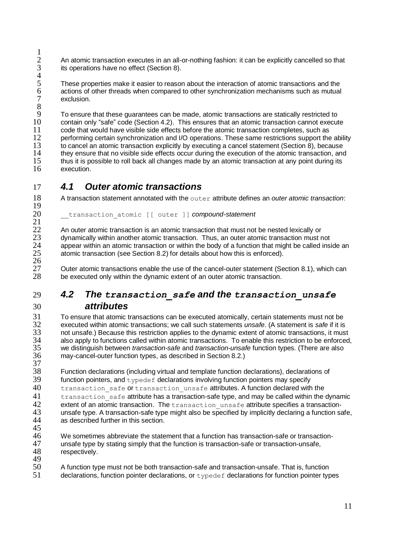$\frac{1}{2}$ 2 An atomic transaction executes in an all-or-nothing fashion: it can be explicitly cancelled so that its operations have no effect (Section [8\)](#page-19-0).  $\frac{3}{4}$  5 6 7

These properties make it easier to reason about the interaction of atomic transactions and the actions of other threads when compared to other synchronization mechanisms such as mutual exclusion.

8 9 To ensure that these guarantees can be made, atomic transactions are statically restricted to 10 contain only "safe" code (Section 4.2). This ensures that an atomic transaction cannot execut 10 contain only "safe" code (Section [4.2\)](#page-10-1). This ensures that an atomic transaction cannot execute<br>11 code that would have visible side effects before the atomic transaction completes, such as 11 code that would have visible side effects before the atomic transaction completes, such as<br>12 oerforming certain synchronization and I/O operations. These same restrictions support the 12 performing certain synchronization and I/O operations. These same restrictions support the ability<br>13 to cancel an atomic transaction explicitly by executing a cancel statement (Section 8) because 13 to cancel an atomic transaction explicitly by executing a cancel statement (Section [8\)](#page-19-0), because<br>14 they ensure that no visible side effects occur during the execution of the atomic transaction, and 14 they ensure that no visible side effects occur during the execution of the atomic transaction, and<br>15 thus it is possible to roll back all changes made by an atomic transaction at any point during its 15 thus it is possible to roll back all changes made by an atomic transaction at any point during its<br>16 execution execution

### <span id="page-10-0"></span>17 *4.1 Outer atomic transactions*

 $\frac{19}{20}$ 

 $\frac{21}{22}$ 

18 A transaction statement annotated with the outer attribute defines an *outer atomic transaction*:

20 \_\_transaction\_atomic [[ outer ]] *compound-statement*

22 An outer atomic transaction is an atomic transaction that must not be nested lexically or dynamically within another atomic transaction. Thus, an outer atomic transaction must n 23 dynamically within another atomic transaction. Thus, an outer atomic transaction must not 24 appear within an atomic transaction or within the body of a function that might be called insignation 24 appear within an atomic transaction or within the body of a function that might be called inside an atomic transaction (see Section 8.2) for details about how this is enforced). atomic transaction (see Section [8.2\)](#page-20-1) for details about how this is enforced).

 $\frac{26}{27}$ 27 Outer atomic transactions enable the use of the cancel-outer statement (Section [8.1\)](#page-20-0), which can<br>28 be executed only within the dynamic extent of an outer atomic transaction. be executed only within the dynamic extent of an outer atomic transaction.

### <span id="page-10-1"></span>29 *4.2 The transaction\_safe and the transaction\_unsafe* 30 *attributes*

31 To ensure that atomic transactions can be executed atomically, certain statements must not be 32 executed within atomic transactions: we call such statements *unsafe*. (A statement is *safe* if it is 32 executed within atomic transactions; we call such statements *unsafe*. (A statement is *safe* if it is 33 not unsafe.) Because this restriction applies to the dynamic extent of atomic transactions, it must 34 also apply to functions called within atomic transactions. To enable this restriction to be enforced 34 also apply to functions called within atomic transactions. To enable this restriction to be enforced,<br>35 we distinguish between *transaction-safe* and *transaction-unsafe* function types. (There are also 35 we distinguish between *transaction-safe* and *transaction-unsafe* function types. (There are also may-cancel-outer function types, as described in Section [8.2.](#page-20-1))

 $\frac{37}{38}$ 38 Function declarations (including virtual and template function declarations), declarations of function pointers, and typedef declarations involving function pointers may specify  $39$  function pointers, and typedef declarations involving function pointers may specify<br> $40$  transaction, safe of transaction, unsafe attributes. A function declared with transaction safe or transaction unsafe attributes. A function declared with the  $41$  transaction\_safe attribute has a transaction-safe type, and may be called within the dynamic<br>42 extent of an atomic transaction. The transaction unsafe attribute specifies a transaction-42 extent of an atomic transaction. The transaction\_unsafe attribute specifies a transaction-<br>43 unsafe type. A transaction-safe type might also be specified by implicitly declaring a function sa 43 unsafe type. A transaction-safe type might also be specified by implicitly declaring a function safe,  $44$  as described further in this section. as described further in this section.

45<br>46

46 We sometimes abbreviate the statement that a function has transaction-safe or transaction-<br>47 unsafe type by stating simply that the function is transaction-safe or transaction-unsafe. 47 unsafe type by stating simply that the function is transaction-safe or transaction-unsafe,<br>48 respectively respectively.

- 49<br>50
- A function type must not be both transaction-safe and transaction-unsafe. That is, function 51 declarations, function pointer declarations, or typedef declarations for function pointer types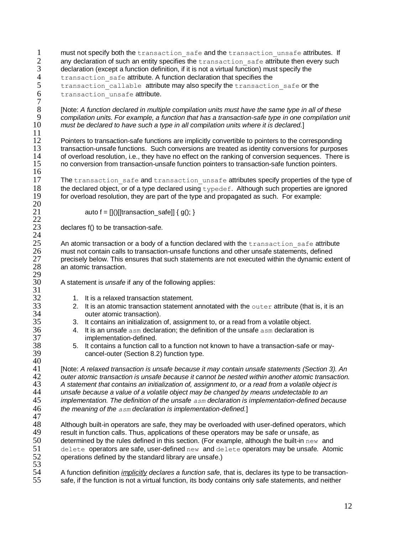- 1 must not specify both the transaction safe and the transaction unsafe attributes. If<br>2 any declaration of such an entity specifies the transaction safe attribute then every such 2 any declaration of such an entity specifies the  $transaction\_safe$  attribute then every such declaration (except a function definition, if it is not a virtual function) must specify the  $3$  declaration (except a function definition, if it is not a virtual function) must specify the transaction safe attribute. A function declaration that specifies the 4 transaction\_safe attribute. A function declaration that specifies the<br>5 transaction callable attribute may also specify the transaction
- 5 transaction\_callable attribute may also specify the transaction\_safe or the transaction unsafe attribute. transaction unsafe attribute.  $rac{7}{8}$

8 [Note: *A function declared in multiple compilation units must have the same type in all of these*  9 *compilation units. For example, a function that has a transaction-safe type in one compilation unit*  10 *must be declared to have such a type in all compilation units where it is declared.*]

12 Pointers to transaction-safe functions are implicitly convertible to pointers to the corresponding<br>13 transaction-unsafe functions. Such conversions are treated as identity conversions for purpose 13 transaction-unsafe functions. Such conversions are treated as identity conversions for purposes<br>14 of overload resolution i.e. they have no effect on the ranking of conversion sequences. There is 14 of overload resolution, i.e., they have no effect on the ranking of conversion sequences. There is 15 no conversion from transaction-unsafe function pointers by no conversion from transaction-unsafe function pointers. no conversion from transaction-unsafe function pointers to transaction-safe function pointers.

The transaction safe and transaction unsafe attributes specify properties of the type of 18 the declared object, or of a type declared using  $typedef$ . Although such properties are ignored 19 for overload resolution, they are part of the type and propagated as such. For example: for overload resolution, they are part of the type and propagated as such. For example:

auto  $f = []()$ [[transaction\_safe]] {  $g()$ ; }

declares f() to be transaction-safe.

 $\frac{11}{12}$ 

 $\frac{16}{17}$ 

 $\frac{20}{21}$ 

 $\frac{22}{23}$ 

 $\frac{24}{25}$ 

 $\frac{29}{30}$ 

 $\frac{31}{32}$ 

 $\frac{40}{41}$ 

25 An atomic transaction or a body of a function declared with the  $transaction\_safe$  attribute  $26$  must not contain calls to transaction-unsafe functions and other unsafe statements, defined 26 must not contain calls to transaction-unsafe functions and other unsafe statements, defined<br>27 mercisely below. This ensures that such statements are not executed within the dynamic external 27 precisely below. This ensures that such statements are not executed within the dynamic extent of 28 an atomic transaction. an atomic transaction.

A statement is *unsafe* if any of the following applies:

- 32 1. It is a relaxed transaction statement.<br>33 2. It is an atomic transaction statement
- 33 2. It is an atomic transaction statement annotated with the outer attribute (that is, it is an outer atomic transaction). 34 outer atomic transaction).<br>35 3. It contains an initialization
	- 3. It contains an initialization of, assignment to, or a read from a volatile object.
- $36$  4. It is an unsafe asm declaration; the definition of the unsafe asm declaration is implementation-defined. 37 implementation-defined.<br>38 5. It contains a function call
- $38$  5. It contains a function call to a function not known to have a transaction-safe or may-<br> $39$  cancel-outer (Section 8.2) function type. cancel-outer (Section [8.2\)](#page-20-1) function type.

 [Note: *A relaxed transaction is unsafe because it may contain unsafe statements (Section [3\)](#page-7-0). An outer atomic transaction is unsafe because it cannot be nested within another atomic transaction. A statement that contains an initialization of, assignment to, or a read from a volatile object is unsafe because a value of a volatile object may be changed by means undetectable to an implementation. The definition of the unsafe asm declaration is implementation-defined because the meaning of the asm declaration is implementation-defined.*]

47 48 Although built-in operators are safe, they may be overloaded with user-defined operators, which<br>49 result in function calls. Thus, applications of these operators may be safe or unsafe, as 49 result in function calls. Thus, applications of these operators may be safe or unsafe, as  $50$  determined by the rules defined in this section. (For example, although the built-in  $p \in M$ determined by the rules defined in this section. (For example, although the built-in  $new$  and 51 delete operators are safe, user-defined new and delete operators may be unsafe*.* Atomic operations defined by the standard library are unsafe.)

53<br>54 54 A function definition *implicitly declares a function safe,* that is, declares its type to be transactionsafe, if the function is not a virtual function, its body contains only safe statements, and neither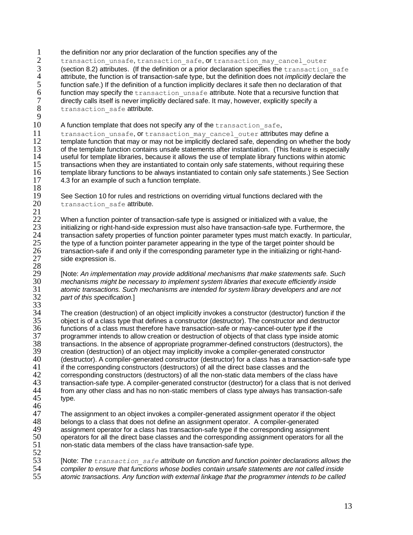1 the definition nor any prior declaration of the function specifies any of the<br>2 transaction unsafe, transaction safe, or transaction may

2 transaction\_unsafe, transaction\_safe, Or transaction\_may\_cancel\_outer<br>3 (section 8.2) attributes. (If the definition or a prior declaration specifies the transaction 3 (section 8.2) attributes. (If the definition or a prior declaration specifies the transaction safe attribute, the function is of transaction-safe type, but the definition does not *implicitly* declare the 4 attribute, the function is of transaction-safe type, but the definition does not *implicitly* declare the<br>5 function safe.) If the definition of a function implicitly declares it safe then no declaration of that 5 function safe.) If the definition of a function implicitly declares it safe then no declaration of that  $6$  function may specify the  $transaction$  unsafe attribute. Note that a recursive function that 6 function may specify the  $transaction\_unsafe$  attribute. Note that a recursive function that directly calls itself is never implicitly declared safe. It may, however, explicitly specify a  $7$  directly calls itself is never implicitly declared safe. It may, however, explicitly specify a<br>8 transaction safe attribute. transaction safe attribute.

 $\frac{9}{10}$ 

A function template that does not specify any of the transaction safe,

11 transaction\_unsafe, or transaction\_may\_cancel\_outer attributes may define a<br>12 template function that may or may not be implicitly declared safe, depending on whether the 12 template function that may or may not be implicitly declared safe, depending on whether the body<br>13 of the template function contains unsafe statements after instantiation. (This feature is especially 13 of the template function contains unsafe statements after instantiation. (This feature is especially useful for template libraries, because it allows the use of template library functions within atomic 14 useful for template libraries, because it allows the use of template library functions within atomic 15 transactions when they are instantiated to contain only safe statements, without requiring these<br>16 template library functions to be always instantiated to contain only safe statements.) See Section 16 template library functions to be always instantiated to contain only safe statements.) See Section<br>17 4.3 for an example of such a function template. [4.3](#page-13-0) for an example of such a function template.

 $\frac{18}{19}$ 19 See Section [10](#page-26-0) for rules and restrictions on overriding virtual functions declared with the 20 transaction safe attribute. transaction safe attribute.

 $\frac{21}{22}$ 22 When a function pointer of transaction-safe type is assigned or initialized with a value, the<br>23 initializing or right-hand-side expression must also have transaction-safe type. Furthermore 23 initializing or right-hand-side expression must also have transaction-safe type. Furthermore, the<br>24 transaction safety properties of function pointer parameter types must match exactly. In particula 24 transaction safety properties of function pointer parameter types must match exactly. In particular,<br>25 the type of a function pointer parameter appearing in the type of the target pointer should be 25 the type of a function pointer parameter appearing in the type of the target pointer should be<br>26 transaction-safe if and only if the corresponding parameter type in the initializing or right-hand 26 transaction-safe if and only if the corresponding parameter type in the initializing or right-hand-<br>27 side expression is. side expression is. 28

 [Note: *An implementation may provide additional mechanisms that make statements safe. Such mechanisms might be necessary to implement system libraries that execute efficiently inside atomic transactions. Such mechanisms are intended for system library developers and are not part of this specification.*]

33<br>34 34 The creation (destruction) of an object implicitly invokes a constructor (destructor) function if the 35 object is of a class type that defines a constructor (destructor). The constructor and destructor 35 object is of a class type that defines a constructor (destructor). The constructor and destructor 36 time functions of a class must therefore have transaction-safe or may-cancel-outer type if the 36 functions of a class must therefore have transaction-safe or may-cancel-outer type if the 37 programmer intends to allow creation or destruction of objects of that class type inside atomic<br>38 transactions. In the absence of appropriate programmer-defined constructors (destructors), the 38 transactions. In the absence of appropriate programmer-defined constructors (destructors), the creation (destruction) of an object may implicitly invoke a compiler-generated constructor 39 creation (destruction) of an object may implicitly invoke a compiler-generated constructor<br>40 (destructor) A compiler-generated constructor (destructor) for a class has a transaction-s 40 (destructor). A compiler-generated constructor (destructor) for a class has a transaction-safe type<br>41 if the corresponding constructors (destructors) of all the direct base classes and the 41 if the corresponding constructors (destructors) of all the direct base classes and the 42 corresponding constructors (destructors) of all the non-static data members of the cl 42 corresponding constructors (destructors) of all the non-static data members of the class have<br>43 transaction-safe type. A compiler-generated constructor (destructor) for a class that is not deri 43 transaction-safe type. A compiler-generated constructor (destructor) for a class that is not derived<br>44 from any other class and has no non-static members of class type always has transaction-safe 44 from any other class and has no non-static members of class type always has transaction-safe<br>45 type. type.

46

47 The assignment to an object invokes a compiler-generated assignment operator if the object 48 belongs to a class that does not define an assignment operator. A compiler-generated 48 belongs to a class that does not define an assignment operator. A compiler-generated 49 assignment operator for a class has transaction-safe type if the corresponding assignm 49 assignment operator for a class has transaction-safe type if the corresponding assignment<br>50 operators for all the direct base classes and the corresponding assignment operators for all 50 operators for all the direct base classes and the corresponding assignment operators for all the 51 non-static data members of the class have transaction-safe type. non-static data members of the class have transaction-safe type.

 $\frac{52}{53}$  [Note: *The transaction\_safe attribute on function and function pointer declarations allows the compiler to ensure that functions whose bodies contain unsafe statements are not called inside atomic transactions. Any function with external linkage that the programmer intends to be called*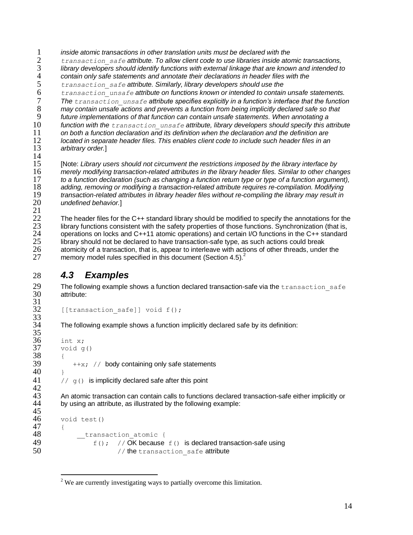*inside atomic transactions in other translation units must be declared with the transaction\_safe attribute. To allow client code to use libraries inside atomic transactions, library developers should identify functions with external linkage that are known and intended to contain only safe statements and annotate their declarations in header files with the transaction\_safe attribute. Similarly, library developers should use the transaction\_unsafe attribute on functions known or intended to contain unsafe statements. The transaction\_unsafe attribute specifies explicitly in a function's interface that the function may contain unsafe actions and prevents a function from being implicitly declared safe so that future implementations of that function can contain unsafe statements. When annotating a*  function with the *transaction unsafe* attribute, library developers should specify this attribute *on both a function declaration and its definition when the declaration and the definition are located in separate header files. This enables client code to include such header files in an* 

arbitrary order.]

 $\frac{14}{15}$  [Note: *Library users should not circumvent the restrictions imposed by the library interface by merely modifying transaction-related attributes in the library header files. Similar to other changes to a function declaration (such as changing a function return type or type of a function argument), adding, removing or modifying a transaction-related attribute requires re-compilation. Modifying transaction-related attributes in library header files without re-compiling the library may result in undefined behavior.*]

 $\frac{21}{22}$ 22 The header files for the C++ standard library should be modified to specify the annotations for the 23 library functions consistent with the safety properties of those functions. Synchronization (that is. 23 library functions consistent with the safety properties of those functions. Synchronization (that is,<br>24 operations on locks and C++11 atomic operations) and certain I/O functions in the C++ standard 24 operations on locks and C++11 atomic operations) and certain I/O functions in the C++ standard<br>25 library should not be declared to have transaction-safe type, as such actions could break 25 library should not be declared to have transaction-safe type, as such actions could break atomicity of a transaction, that is, appear to interleave with actions of other threads, under the memory model rules specified in this document (Sectio[n 4.5\)](#page-16-0).<sup>2</sup> 27

### <span id="page-13-0"></span>28 *4.3 Examples*

33<br>34

29 The following example shows a function declared transaction-safe via the  $transaction\_safe$ <br>30 attribute: attribute:  $\frac{31}{32}$ 

```
[[transaction safe]] void f();
```
The following example shows a function implicitly declared safe by its definition:

```
\frac{35}{36}\frac{36}{37} int x;
           void g()
\begin{array}{c} 38 \\ 39 \end{array}+x; // body containing only safe statements
40 }
41 // \sigma () is implicitly declared safe after this point
\frac{42}{43}43 An atomic transaction can contain calls to functions declared transaction-safe either implicitly or 44 by using an attribute, as illustrated by the following example:
           by using an attribute, as illustrated by the following example:
45<br>46
           void test()
\begin{array}{cc} 47 & \text{ } \text{ } & 48 \end{array}_transaction atomic {
49 f(y; y) // OK because f(y) is declared transaction-safe using
```
<sup>50 //</sup> the transaction safe attribute

 $\overline{a}$ <sup>2</sup> We are currently investigating ways to partially overcome this limitation.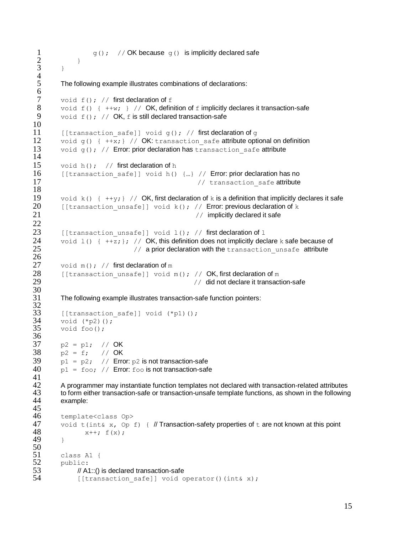```
1 g(); \frac{1}{2} g() \frac{1}{2} g() \frac{1}{2} g() is implicitly declared safe
 2 \qquad \qquad }
 \overline{3} }
 rac{4}{5}The following example illustrates combinations of declarations:
 6
 7 void f(); // first declaration of f<br>8 void f() { +iv; } // OK, defin
         void f() \{ ++w; \} // OK, definition of f implicitly declares it transaction-safe
 9 void f(); // OK, f is still declared transaction-safe
10
11 [[transaction safe]] void g(); // first declaration of q12 void g() \{ +\frac{1}{x}; \} // OK: transaction_safe attribute optional on definition<br>13 void g(); // Error: prior declaration has transaction safe attribute
         void g(); // Error: prior declaration has transaction safe attribute
14
15 void h(); // first declaration of h
16 [[transaction safe]] void h() {…} // Error: prior declaration has no
17 // transaction safe attribute
\frac{18}{19}void k() { +y; } // OK, first declaration of k is a definition that implicitly declares it safe
20 [[transaction unsafe]] void k(); // Error: previous declaration of k
21 21 // implicitly declared it safe
22
23 [[transaction unsafe]] void l(); // first declaration of l24 void 1() \{ +\frac{1}{2}; \}; // OK, this definition does not implicitly declare k safe because of <br>(a prior declaration with the transaction unsafe attribute)
                                  // a prior declaration with the transaction unsafe attribute
\frac{26}{27}void m(); // first declaration of m28 [[transaction unsafe]] void m(); // OK, first declaration of m29 29 CON CON CON CON CON CON CON CON CON CON CON CON CON CON CON CON CON CON CON CON CON CON CON CON CON CON CON
30<br>31
         The following example illustrates transaction-safe function pointers:
\frac{32}{33}33 [[transaction_safe]] void (*p1)(;<br>34 void (*p2)();
34 void (*p2)();<br>35 void foo();
         void foo();
36
37 p2 = p1; // OK
38 p2 = f; // OK<br>39 p1 = p2; // Erro
         p1 = p2; // Error: p2 is not transaction-safe
40 p1 = foo; // Error: foo is not transaction-safe
\frac{41}{42}42 A programmer may instantiate function templates not declared with transaction-related attributes 
43 to form either transaction-safe or transaction-unsafe template functions, as shown in the following 
         example:
\frac{45}{46}46 template<class Op><br>47 void t(int& x. Op :
47 void t(int& x, Op f) { // Transaction-safety properties of t are not known at this point x++; f(x);
                 x++; f(x);49 }
\frac{50}{51}51 class A1 {<br>52 public:
         public:
53 // A1::() is declared transaction-safe<br>54 [Itransaction_safel] void_c
               [[transaction safe]] void operator()(int& x);
```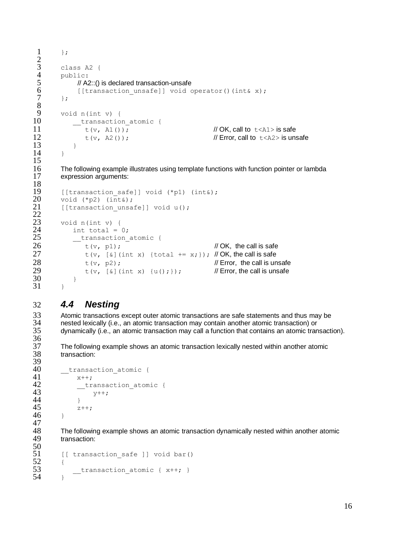```
1 \quad \exists;
 \begin{array}{cc} 3 & \text{class A2 } \\ 4 & \text{public:} \end{array}\begin{array}{cc} 4 & \text{public:} \\ 5 & \text{// A2} \end{array}5 // A2::() is declared transaction-unsafe<br>6      [[transaction_unsafe]] void c
 6 [[transaction_unsafe]] void operator()(int& x);<br>7 ):
           7 };
\begin{array}{cc} 9 & \text{void n(int v)} \\ 10 & \text{transaction} \end{array}__transaction_atomic {
11 t(v, A1()); // OK, call to t < A1> is safe
12 t(v, A2()); \qquad \qquad \qquad // Error, call to t < A2 is unsafe
13 }
14 \rightarrow
```
16 The following example illustrates using template functions with function pointer or lambda<br>17 expression arguments: expression arguments:

```
19 [[transaction_safe]] void (*p1) (int&);<br>20 void (*p2) (int&);
20 void (*p2) (int&);<br>21 1 [[transaction unsa
          [[transaction unsafe]] void u();
23 void n(int v) {<br>24 int total = 0
24 int total = 0;<br>25 transaction
25 \frac{t}{26} \frac{t}{26} \frac{t}{x} (v. p1):
26 \frac{1}{27} t(v, p1); \frac{1}{27} // OK, the call is safe \frac{1}{27} t(v, [&] (int x) {total += x; }); // OK, the call is safe
                  t(v, [\&] (int x) {total += x;}); // OK, the call is safe
28 t(v, p2);<br>29 t(v, [\&(1)] (int x) {u(); }); // Error, the call is unsafe
                  t(v, [\&] (int x) \{u(); \}); // Error, the call is unsafe
30 }
31 }
```
### <span id="page-15-0"></span>32 *4.4 Nesting*

 $rac{2}{3}$ 

8

 $\frac{15}{16}$ 

 $\frac{18}{19}$ 

 $\frac{22}{23}$ 

39<br>40

47<br>48

33 Atomic transactions except outer atomic transactions are safe statements and thus may be 34 nested lexically (i.e., an atomic transaction may contain another atomic transaction) or 34 nested lexically (i.e., an atomic transaction may contain another atomic transaction) or<br>35 dynamically (i.e., an atomic transaction may call a function that contains an atomic tran dynamically (i.e., an atomic transaction may call a function that contains an atomic transaction). 36<br>37

37 The following example shows an atomic transaction lexically nested within another atomic transaction:

```
40 \frac{t}{1} \frac{t}{1} \frac{t}{1} \frac{t}{1} \frac{t}{1} \frac{t}{1} \frac{t}{1} \frac{t}{1} \frac{t}{1} \frac{t}{1} \frac{t}{1} \frac{t}{1} \frac{t}{1} \frac{t}{1} \frac{t}{1} \frac{t}{1} \frac{t}{1} \frac{t}{1} \frac{t}{1} \frac{t}{1} \frac{t}{1} \frac{t}{1}41 x++;<br>42 tr
42 __transaction_atomic {<br>43 v++y++;\begin{array}{ccc} 44 & & & \frac{1}{2} \\ 45 & & & z \end{array}z++;46 }
```
48 The following example shows an atomic transaction dynamically nested within another atomic<br>49 transaction: transaction:

```
50<br>51
           \lceil [ transaction safe ]] void bar()
\frac{52}{53} {
                \begin{array}{l}\n \text{transaction atomic { }x++; }\n \end{array}54 }
```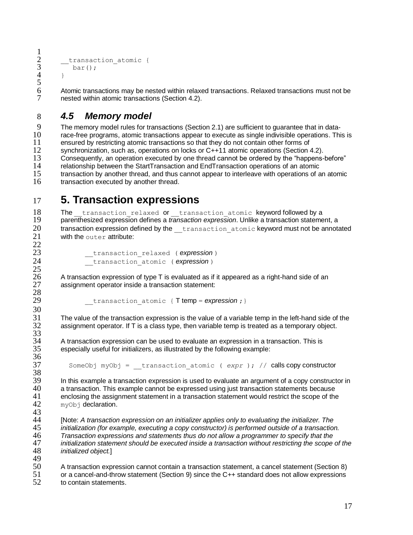```
__transaction atomic {
         bar();
4 \rightarrow
```
 $\frac{1}{2}$ 

 $\frac{5}{6}$ 

 $\frac{25}{26}$ 

28

30

33<br>34

36<br>37

6 Atomic transactions may be nested within relaxed transactions. Relaxed transactions must not be  $7$  nested within atomic transactions (Section 4.2). nested within atomic transactions (Section [4.2\)](#page-10-1).

### <span id="page-16-0"></span>8 *4.5 Memory model*

9 The memory model rules for transactions (Section [2.1\)](#page-6-0) are sufficient to guarantee that in data-<br>10 race-free programs, atomic transactions appear to execute as single indivisible operations. Thi 10 race-free programs, atomic transactions appear to execute as single indivisible operations. This is 11 ensured by restricting atomic transactions so that they do not contain other forms of 11 ensured by restricting atomic transactions so that they do not contain other forms of<br>12 synchronization, such as operations on locks or C++11 atomic operations (Section 12 synchronization, such as, operations on locks or C++11 atomic operations (Section [4.2\)](#page-10-1).<br>13 Consequently, an operation executed by one thread cannot be ordered by the "happens-Consequently, an operation executed by one thread cannot be ordered by the "happens-before" 14 relationship between the StartTransaction and EndTransaction operations of an atomic 15 transaction by another thread, and thus cannot appear to interleave with operations of an atomic<br>16 transaction executed by another thread transaction executed by another thread.

### <span id="page-16-1"></span>17 **5. Transaction expressions**

18 The transaction relaxed or transaction atomic keyword followed by a<br>19 oarenthesized expression defines a *transaction expression*. Unlike a transaction stateme 19 parenthesized expression defines a *transaction expression*. Unlike a transaction statement, a<br>20 transaction expression defined by the transaction atomic keyword must not be annote transaction expression defined by the transaction atomic keyword must not be annotated 21 with the outer attribute:  $\frac{22}{23}$ 

```
23 __transaction_relaxed ( expression )
             24 __transaction_atomic ( expression )
```
26 A transaction expression of type  $T$  is evaluated as if it appeared as a right-hand side of an  $27$  assignment operator inside a transaction statement: assignment operator inside a transaction statement:

transaction atomic { T temp = *expression* ; }

31 The value of the transaction expression is the value of a variable temp in the left-hand side of the 32 assignment operator. If T is a class type, then variable temp is treated as a temporary object. assignment operator. If T is a class type, then variable temp is treated as a temporary object.

 $34$  A transaction expression can be used to evaluate an expression in a transaction. This is  $35$  especially useful for initializers, as illustrated by the following example: especially useful for initializers, as illustrated by the following example:

SomeObj myObj = transaction atomic ( *expr* ); // calls copy constructor

38<br>39 39 In this example a transaction expression is used to evaluate an argument of a copy constructor in <br>40 a transaction. This example cannot be expressed using just transaction statements because a transaction. This example cannot be expressed using just transaction statements because 41 enclosing the assignment statement in a transaction statement would restrict the scope of the  $42 \text{ m}$  w $\circ$ b ideclaration. myObj declaration.

43 [Note: *A transaction expression on an initializer applies only to evaluating the initializer. The initialization (for example, executing a copy constructor) is performed outside of a transaction. Transaction expressions and statements thus do not allow a programmer to specify that the initialization statement should be executed inside a transaction without restricting the scope of the initialized object.*]

 $\frac{49}{50}$ 50 A transaction expression cannot contain a transaction statement, a cancel statement (Section [8\)](#page-19-0) or a cancel-and-throw statement (Section [9\)](#page-23-0) since the C++ standard does not allow expressions 52 to contain statements.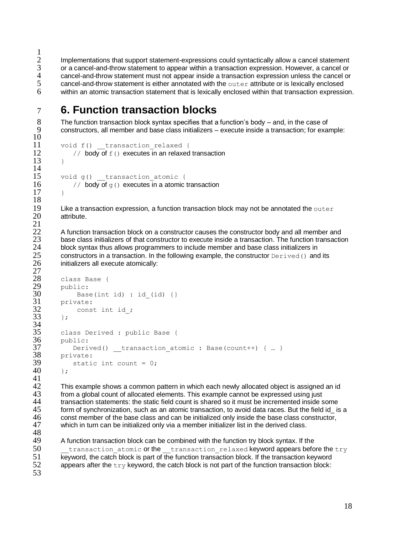$\frac{1}{2}$ 2 Implementations that support statement-expressions could syntactically allow a cancel statement 3 or a cancel-and-throw statement to appear within a transaction expression. However, a cancel or<br>4 cancel-and-throw statement must not appear inside a transaction expression unless the cancel or 4 cancel-and-throw statement must not appear inside a transaction expression unless the cancel or cancel-and-throw statement is either annotated with the out-exactitute or is lexically enclosed  $5$  cancel-and-throw statement is either annotated with the  $\text{outer}$  attribute or is lexically enclosed<br>6 within an atomic transaction statement that is lexically enclosed within that transaction expression within an atomic transaction statement that is lexically enclosed within that transaction expression.

# <span id="page-17-0"></span>7 **6. Function transaction blocks**

8 The function transaction block syntax specifies that a function's body – and, in the case of  $9$  constructors, all member and base class initializers – execute inside a transaction: for exame constructors, all member and base class initializers – execute inside a transaction; for example:

```
\frac{10}{11}
```
 $\frac{14}{15}$ 

```
11 void f() __transaction_relaxed {<br>12 // body of f() executes in an relaxed
             1/7 body of f() executes in an relaxed transaction
13 \rightarrowvoid g() transaction atomic {
16 // body of q() executes in a atomic transaction
17 }
```
18<br>19

 $\frac{21}{22}$ 

19 Like a transaction expression, a function transaction block may not be annotated the outer  $20$  attribute. attribute.

22 A function transaction block on a constructor causes the constructor body and all member and<br>23 hase class initializers of that constructor to execute inside a transaction. The function transaction 23 base class initializers of that constructor to execute inside a transaction. The function transaction <br>24 block syntax thus allows programmers to include member and base class initializers in 24 block syntax thus allows programmers to include member and base class initializers in<br>25 constructors in a transaction. In the following example, the constructor  $Derived()$  and 25 constructors in a transaction. In the following example, the constructor  $Derived()$  and its initializers all execute atomically: initializers all execute atomically:

```
\frac{27}{28}28 class Base {<br>29 public:
\begin{matrix} 29 \\ 30 \end{matrix} public:<br>Base
\begin{array}{ll}\n 30 & \text{Base(int id)} : \text{id}_i \\
 31 & \text{private:}\n \end{array}31 private:<br>32 const
                 const int id;
33 \; ;34<br>35
35 class Derived : public Base {
36 public:<br>37 Deriv
37 Derived() _transaction_atomic : Base(count++) { ... }<br>38 private:
38 private:<br>39 statio
               static int count = 0;
40 \t{+}
```
 $\frac{41}{42}$  $42$  This example shows a common pattern in which each newly allocated object is assigned an id<br>43 from a global count of allocated elements. This example cannot be expressed using just 43 from a global count of allocated elements. This example cannot be expressed using just transaction statements: the static field count is shared so it must be incremented inside s transaction statements: the static field count is shared so it must be incremented inside some<br>45 form of synchronization, such as an atomic transaction, to avoid data races. But the field id is form of synchronization, such as an atomic transaction, to avoid data races. But the field id is a 46 const member of the base class and can be initialized only inside the base class constructor,<br>47 which in turn can be initialized only via a member initializer list in the derived class. which in turn can be initialized only via a member initializer list in the derived class.

48<br>49 A function transaction block can be combined with the function try block syntax. If the  $50$  transaction atomic or the transaction relaxed keyword appears before the try 51 keyword, the catch block is part of the function transaction block. If the transaction keyword 52 appears after the  $t_{\text{UV}}$  keyword, the catch block is not part of the function transaction block: 53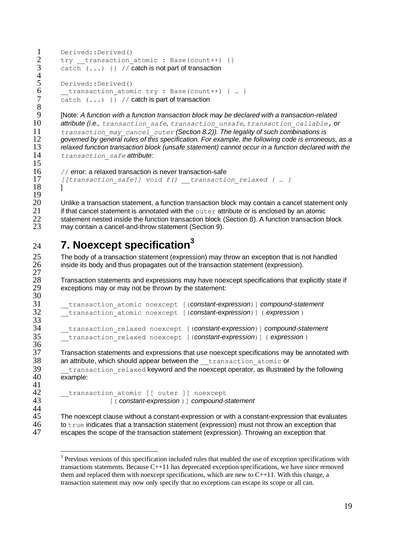```
1 Derived::Derived()<br>2 try transaction
2 try transaction_atomic : Base(count++) {}<br>3 catch (...) {} // catch is not part of transaction
         catch (1, 1) \{ \} // catch is not part of transaction
rac{4}{5}5 Derived::Derived()<br>6 transaction atom
6 \frac{1}{2} transaction_atomic try : Base(count++) { ... }
         catch (1, 1) {} // catch is part of transaction
8
```
 [Note: *A function with a function transaction block may be declared with a transaction-related attribute (i.e., transaction\_safe, transaction\_unsafe, transaction\_callable, or transaction\_may\_cancel\_outer (Section [8.2\)](#page-20-1)). The legality of such combinations is governed by general rules of this specification. For example, the following code is erroneous, as a relaxed function transaction block (unsafe statement) cannot occur in a function declared with the transaction\_safe attribute:* 15

```
16 // error: a relaxed transaction is never transaction-safe<br>17 / [transaction safe]] void f() transaction
          17 [[transaction_safe]] void f() __transaction_relaxed { … }
18 1
```
 $\frac{19}{20}$ 20 Unlike a transaction statement, a function transaction block may contain a cancel statement only 21 if that cancel statement is annotated with the out-exactibute or is enclosed by an atomic 21 if that cancel statement is annotated with the outer attribute or is enclosed by an atomic<br>22 statement nested inside the function transaction block (Section 8). A function transaction 22 statement nested inside the function transaction block (Section [8\)](#page-19-0). A function transaction block<br>23 may contain a cancel-and-throw statement (Section 9). may contain a cancel-and-throw statement (Section [9\)](#page-23-0).

#### <span id="page-18-0"></span>**7. Noexcept specification<sup>3</sup>** 24

 $\frac{27}{28}$ 

30<br>31

 $\frac{33}{34}$ 

 $\frac{36}{37}$ 

 $\frac{41}{42}$ 

 $\overline{a}$ 

 $25$  The body of a transaction statement (expression) may throw an exception that is not handled  $26$  inside its body and thus propagates out of the transaction statement (expression). inside its body and thus propagates out of the transaction statement (expression).

28 Transaction statements and expressions may have noexcept specifications that explicitly state if <br>29 exceptions may or may not be thrown by the statement: exceptions may or may not be thrown by the statement:

```
31 __transaction_atomic noexcept [(constant-expression)] compound-statement
       32 __transaction_atomic noexcept [(constant-expression)] ( expression )
34 __transaction_relaxed noexcept [(constant-expression)] compound-statement
       35 __transaction_relaxed noexcept [(constant-expression)] ( expression )
```
 $37$  Transaction statements and expressions that use noexcept specifications may be annotated with  $38$  an attribute, which should appear between the  $\frac{1}{2}$  transaction atomic or 38 an attribute, which should appear between the <u>transaction</u> atomic or<br>39 transaction relaxed keyword and the noexcept operator, as illustrate

 $\frac{39}{20}$   $\frac{t}{2}$  transaction\_relaxed keyword and the noexcept operator, as illustrated by the following  $\frac{40}{2}$ example:

```
transaction atomic [[ outer ]] noexcept
43 [( constant-expression )] compound-statement
```
44<br>45  $45$  The noexcept clause without a constant-expression or with a constant-expression that evaluates  $46$  to true indicates that a transaction statement (expression) must not throw an exception that  $46$  to true indicates that a transaction statement (expression) must not throw an exception that  $47$  escapes the scope of the transaction statement (expression). Throwing an exception that escapes the scope of the transaction statement (expression). Throwing an exception that

<sup>&</sup>lt;sup>3</sup> Previous versions of this specification included rules that enabled the use of exception specifications with transactions statements. Because C++11 has deprecated exception specifications, we have since removed them and replaced them with no except specifications, which are new to  $C_{++11}$ . With this change, a transaction statement may now only specify that no exceptions can escape its scope or all can.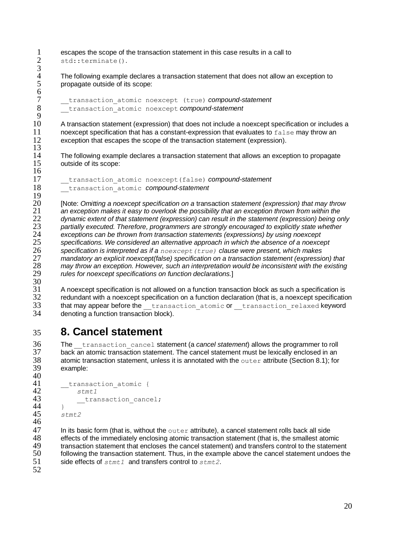1 escapes the scope of the transaction statement in this case results in a call to  $2 \text{ std: terminate}()$ . std::terminate().  $\frac{3}{4}$ 

4 The following example declares a transaction statement that does not allow an exception to propagate outside of its scope: 5 propagate outside of its scope:

7 \_\_transaction\_atomic noexcept (true) *compound-statement* 8 \_\_transaction\_atomic noexcept *compound-statement*

A transaction statement (expression) that does not include a noexcept specification or includes a 11 noexcept specification that has a constant-expression that evaluates to  $f_{\text{false}}$  may throw an 12 exception that escapes the scope of the transaction statement (expression).

14 The following example declares a transaction statement that allows an exception to propagate<br>15 outside of its scope: outside of its scope:

```
17 __transaction_atomic noexcept(false) compound-statement
18 __transaction_atomic compound-statement
```
 $\frac{19}{20}$  [Note: *Omitting a noexcept specification on a* transaction *statement (expression) that may throw an exception makes it easy to overlook the possibility that an exception thrown from within the dynamic extent of that statement (expression) can result in the statement (expression) being only partially executed. Therefore, programmers are strongly encouraged to explicitly state whether exceptions can be thrown from transaction statements (expressions) by using noexcept specifications. We considered an alternative approach in which the absence of a noexcept specification is interpreted as if a noexcept(true) clause were present, which makes mandatory an explicit noexcept(false) specification on a transaction statement (expression) that may throw an exception. However, such an interpretation would be inconsistent with the existing*  rules for noexcept specifications on function declarations.]

 $\frac{30}{31}$ 31 A noexcept specification is not allowed on a function transaction block as such a specification is redundant with a noexcept specification on a function declaration (that is, a noexcept specification 33 that may appear before the transaction\_atomic or transaction\_relaxed keyword<br>34 denoting a function transaction block). denoting a function transaction block).

# <span id="page-19-0"></span>35 **8. Cancel statement**

36 The \_\_transaction\_cancel statement (a *cancel statement*) allows the programmer to roll 37 back an atomic transaction statement. The cancel statement must be lexically enclosed in an 38 atomic transaction statement, unless it is annotated with the outer attribute (Section 8.1); for 38 atomic transaction statement, unless it is annotated with the outer attribute (Section [8.1\)](#page-20-0); for example: example:

```
40<br>41
41 __transaction_atomic {
42 stmt1
               __transaction cancel;
\begin{matrix} 44 & 3 \\ 45 & 51 \end{matrix}45 stmt2
46
```
 $47$  In its basic form (that is, without the outer attribute), a cancel statement rolls back all side<br>48 effects of the immediately enclosing atomic transaction statement (that is, the smallest aton 48 effects of the immediately enclosing atomic transaction statement (that is, the smallest atomic<br>49 transaction statement that encloses the cancel statement) and transfers control to the stateme 49 transaction statement that encloses the cancel statement) and transfers control to the statement<br>50 following the transaction statement. Thus, in the example above the cancel statement undoes the 50 following the transaction statement. Thus, in the example above the cancel statement undoes the side effects of  $stmt1$  and transfers control to  $stmt2$ . side effects of  $stmt1$  and transfers control to  $stmt2$ .

52

 $\frac{6}{7}$ 

 $\frac{9}{10}$ 

 $\frac{13}{14}$ 

16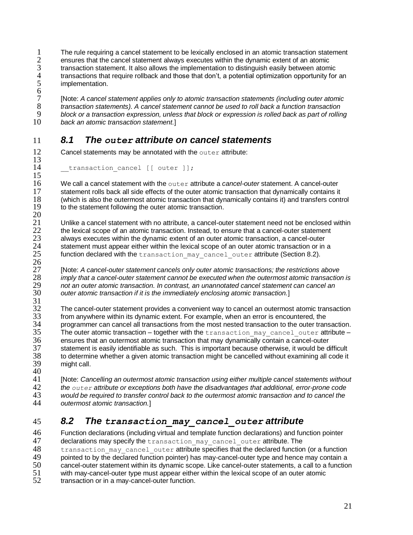1 The rule requiring a cancel statement to be lexically enclosed in an atomic transaction statement 2 ensures that the cancel statement always executes within the dynamic extent of an atomic 2 ensures that the cancel statement always executes within the dynamic extent of an atomic 3 transaction statement. It also allows the implementation to distinguish easily between atomic<br>4 transactions that require rollback and those that don't, a potential optimization opportunity for 4 transactions that require rollback and those that don't, a potential optimization opportunity for an<br>5 implementation. implementation.

6 [Note: *A cancel statement applies only to atomic transaction statements (including outer atomic transaction statements). A cancel statement cannot be used to roll back a function transaction block or a transaction expression, unless that block or expression is rolled back as part of rolling back an atomic transaction statement.*]

### <span id="page-20-0"></span>11 *8.1 The outer attribute on cancel statements*

12 Cancel statements may be annotated with the outer attribute:  $\frac{13}{14}$ 

transaction cancel [[ outer ]];

 $\frac{15}{16}$ 16 We call a cancel statement with the outer attribute a *cancel-outer* statement. A cancel-outer<br>17 statement rolls back all side effects of the outer atomic transaction that dynamically contains it 17 statement rolls back all side effects of the outer atomic transaction that dynamically contains it 18 (which is also the outermost atomic transaction that dynamically contains it) and transfers conti (which is also the outermost atomic transaction that dynamically contains it) and transfers control 19 to the statement following the outer atomic transaction.

 $^{20}_{21}$ 21 Unlike a cancel statement with no attribute, a cancel-outer statement need not be enclosed within 22 the lexical scope of an atomic transaction. Instead, to ensure that a cancel-outer statement 22 the lexical scope of an atomic transaction. Instead, to ensure that a cancel-outer statement<br>23 always executes within the dynamic extent of an outer atomic transaction, a cancel-outer 23 always executes within the dynamic extent of an outer atomic transaction, a cancel-outer<br>24 statement must appear either within the lexical scope of an outer atomic transaction or in 24 statement must appear either within the lexical scope of an outer atomic transaction or in a<br>25 function declared with the transaction may cancel outer attribute (Section 8.2). function declared with the transaction  $\max$  cancel outer attribute (Section [8.2\)](#page-20-1).

 $\frac{26}{27}$ 27 [Note: *A cancel-outer statement cancels only outer atomic transactions; the restrictions above*  28 *imply that a cancel-outer statement cannot be executed when the outermost atomic transaction is*  29 *not an outer atomic transaction. In contrast, an unannotated cancel statement can cancel an*  outer atomic transaction if it is the immediately enclosing atomic transaction.]

31<br>32 32 The cancel-outer statement provides a convenient way to cancel an outermost atomic transaction<br>33 from anywhere within its dynamic extent. For example, when an error is encountered, the 33 from anywhere within its dynamic extent. For example, when an error is encountered, the 34 programmer can cancel all transactions from the most nested transaction to the outer transaction.<br>35 The outer atomic transaction – together with the transaction may cancel outer attribute –  $35$  The outer atomic transaction – together with the  $transaction\_may\_cancel\_outer$  attribute –  $36$  ensures that an outermost atomic transaction that may dynamically contain a cancel-outer 36 ensures that an outermost atomic transaction that may dynamically contain a cancel-outer 37 statement is easily identifiable as such. This is important because otherwise, it would be difficult 38 to determine whether a given atomic transaction might be cancelled without examining all code it might call.

40<br>41 [Note: *Cancelling an outermost atomic transaction using either multiple cancel statements without the outer attribute or exceptions both have the disadvantages that additional, error-prone code would be required to transfer control back to the outermost atomic transaction and to cancel the outermost atomic transaction.*]

### <span id="page-20-1"></span>45 *8.2 The transaction\_may\_cancel\_outer attribute*

46 Function declarations (including virtual and template function declarations) and function pointer 47 declarations may specify the transaction may cancel outer attribute. The 48 transaction may cancel outer attribute specifies that the declared function (or a function 49 pointed to by the declared function pointer) has may-cancel-outer type and hence may contain a<br>50 cancel-outer statement within its dynamic scope. Like cancel-outer statements, a call to a function 50 cancel-outer statement within its dynamic scope. Like cancel-outer statements, a call to a function 51 with may-cancel-outer type must appear either within the lexical scope of an outer atomic 51 with may-cancel-outer type must appear either within the lexical scope of an outer atomic<br>52 transaction or in a may-cancel-outer function. transaction or in a may-cancel-outer function.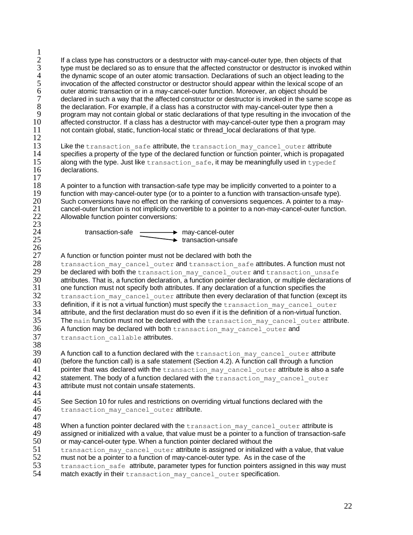$\frac{1}{2}$ 1 If a class type has constructors or a destructor with may-cancel-outer type, then objects of that<br>
2 type must be declared so as to ensure that the affected constructor or destructor is invoked with<br>
4 the dynamic scope type must be declared so as to ensure that the affected constructor or destructor is invoked within 4 the dynamic scope of an outer atomic transaction. Declarations of such an object leading to the<br>5 invocation of the affected constructor or destructor should appear within the lexical scope of an<br>6 outer atomic transacti invocation of the affected constructor or destructor should appear within the lexical scope of an 6 outer atomic transaction or in a may-cancel-outer function. Moreover, an object should be declared in such a way that the affected constructor or destructor is invoked in the same scope as<br>8 the declaration. For example, if a class has a constructor with may-cancel-outer type then a 8 the declaration. For example, if a class has a constructor with may-cancel-outer type then a<br>9 organ may not contain global or static declarations of that type resulting in the invocation 9 program may not contain global or static declarations of that type resulting in the invocation of the 10<br>10 affected constructor. If a class has a destructor with may-cancel-outer type then a program may 10 affected constructor. If a class has a destructor with may-cancel-outer type then a program may<br>11 not contain global, static, function-local static or thread local declarations of that type. not contain global, static, function-local static or thread\_local declarations of that type.

 $\frac{12}{13}$ 13 Like the transaction\_safe attribute, the transaction\_may\_cancel\_outer attribute 14 specifies a property of the type of the declared function or function pointer, which is propaga 14 specifies a property of the type of the declared function or function pointer, which is propagated  $15$  along with the type. Just like transaction safe, it may be meaningfully used in type def along with the type. Just like transaction safe, it may be meaningfully used in typedef 16 declarations.

 $\frac{17}{18}$ 18 A pointer to a function with transaction-safe type may be implicitly converted to a pointer to a<br>19 function with may-cancel-outer type (or to a pointer to a function with transaction-unsafe type) 19 function with may-cancel-outer type (or to a pointer to a function with transaction-unsafe type).<br>20 Such conversions have no effect on the ranking of conversions sequences. A pointer to a may-20 Such conversions have no effect on the ranking of conversions sequences. A pointer to a may-<br>21 cancel-outer function is not implicitly convertible to a pointer to a non-may-cancel-outer function 21 cancel-outer function is not implicitly convertible to a pointer to a non-may-cancel-outer function.<br>22 Allowable function pointer conversions: Allowable function pointer conversions:  $\frac{23}{24}$ 

24 **transaction-safe** may-cancel-outer 25 **transaction-unsafe** 

# 27 A function or function pointer must not be declared with both the<br>28 transaction may cancel outer and transaction safe

28 transaction\_may\_cancel\_outer and transaction\_safe attributes. A function must not<br>29 be declared with both the transaction may cancel outer and transaction unsafe 29 be declared with both the  $transaction_may\_cancel\_outer$  and transaction unsafe  $30$  attributes. That is, a function declaration, a function pointer declaration, or multiple declaration 30 attributes. That is, a function declaration, a function pointer declaration, or multiple declarations of 31 one function must not specify both attributes. If any declaration of a function specifies the 31 one function must not specify both attributes. If any declaration of a function specifies the<br>32 transaction may cancel outer attribute then every declaration of that function (exc transaction may cancel outer attribute then every declaration of that function (except its  $33$  definition, if it is not a virtual function) must specify the  $t$  ransaction\_may\_cancel\_outer  $34$  attribute, and the first declaration must do so even if it is the definition of a non-virtual function  $34$  attribute, and the first declaration must do so even if it is the definition of a non-virtual function.<br>35 The main function must not be declared with the transaction may cancel outer attributed The main function must not be declared with the transaction may cancel outer attribute. 36 A function may be declared with both transaction\_may\_cancel\_outer and<br>37 transaction callable attributes. transaction callable attributes.

 $\frac{38}{39}$  $39$  A function call to a function declared with the transaction\_may\_cancel\_outer attribute  $40$  (before the function call) is a safe statement (Section 4.2). A function call through a function 40 (before the function call) is a safe statement (Section [4.2\)](#page-10-1). A function call through a function  $\frac{41}{100}$  pointer that was declared with the transaction may cancel outer attribute is also a set 41 pointer that was declared with the  $transaction_may\_cancel\_outer$  attribute is also a safe statement. The body of a function declared with the transaction may cancel outer statement. The body of a function declared with the transaction may cancel outer 43 attribute must not contain unsafe statements.

#### 44<br>45 45 See Section [10](#page-26-0) for rules and restrictions on overriding virtual functions declared with the  $46$  transaction may cancel outer attribute. transaction may cancel outer attribute.

 $\frac{47}{48}$ 

 $\frac{26}{27}$ 

48 When a function pointer declared with the  $transaction_may\_cancel\_outer$  attribute is a same dopinitation of transaction-s 49 assigned or initialized with a value, that value must be a pointer to a function of transaction-safe<br>50 or may-cancel-outer type. When a function pointer declared without the

- 50 or may-cancel-outer type. When a function pointer declared without the<br>51 then saction may cancel outer attribute is assigned or initialized
- 51 transaction\_may\_cancel\_outer attribute is assigned or initialized with a value, that value<br>52 must not be a pointer to a function of mav-cancel-outer type. As in the case of the
- $52$  must not be a pointer to a function of may-cancel-outer type. As in the case of the  $53$  transaction safe attribute, parameter types for function pointers assigned in t 53 transaction\_safe attribute, parameter types for function pointers assigned in this way must<br>54 match exactly in their transaction may cancel outer specification
- match exactly in their transaction may cancel outer specification.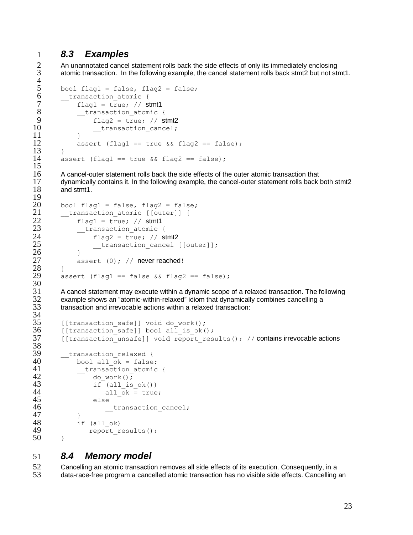### <span id="page-22-0"></span>1 *8.3 Examples*

 $rac{4}{5}$ 

 $\frac{15}{16}$ 

 $\frac{19}{20}$ 

30<br>31

34<br>35

38<br>39

2 An unannotated cancel statement rolls back the side effects of only its immediately enclosing<br>3 atomic transaction. In the following example, the cancel statement rolls back stmt2 but not sti atomic transaction. In the following example, the cancel statement rolls back stmt2 but not stmt1.

```
5 bool flag1 = false, flag2 = false;<br>6 transaction atomic {
 \begin{array}{cc} 6 & \text{transaction\_atomic} \\ 7 & \text{flag1} = \text{true}; \end{array}7 flag1 = true; // stmt1<br>8 transaction atomic
                 _transaction atomic {
\begin{array}{ccc} 9 & \text{flag2} = \text{true} & \text{//} \text{stm2} \\ 10 & \text{transaction cancel:} \end{array}transaction cancel;
11 }
12 assert (flag1 == true & 12 == false);
13 }
14 assert (flag1 == true & 6 \times 1 flag2 == false);
```
16 A cancel-outer statement rolls back the side effects of the outer atomic transaction that 17 dynamically contains it. In the following example, the cancel-outer statement rolls back 17 dynamically contains it. In the following example, the cancel-outer statement rolls back both stmt2<br>18 and stmt1 and stmt1.

```
20 bool flag1 = false, flag2 = false;<br>21 transaction atomic [[outer]] {
21 __transaction_atomic [[outer]] {
22 flag1 = true; // stmt1<br>23 transaction atomic
23 __transaction_atomic {
24 flag2 = true; \frac{7}{100} stmt2<br>25 transaction cancel
                        transaction cancel [[outer]];
\begin{array}{ccc} 26 & & & \rightarrow \\ 27 & & & \text{a} \end{array}assert (0); // never reached!
\begin{array}{cc} 28 & \rightarrow \\ 29 & \text{a} \end{array}assert (flag1 == false &\& flag2 == false);
```
 $31$  A cancel statement may execute within a dynamic scope of a relaxed transaction. The following  $32$  example shows an "atomic-within-relaxed" idiom that dynamically combines cancelling a 32 example shows an "atomic-within-relaxed" idiom that dynamically combines cancelling a transaction and irrevocable actions within a relaxed transaction:

```
35 [[transaction_safe]] void do_work();<br>36 [[transaction_safe]] bool all is ok(
36 [[transaction_safe]] bool all_is_ok();<br>37 [[transaction_unsafe]] void report res
         [[transaction_unsafe]] void report results(); // contains irrevocable actions
\frac{39}{40} ___transaction_relaxed {<br>40 bool all ok = false
40 bool all_ok = false;<br>41 transaction atomic
41 __transaction_atomic {
42 do_work();<br>43 if (all is
                     if (all is ok())
44 all \overline{ok} = true;
45 else
46 transaction cancel;
\begin{array}{ccc} 47 & & & \frac{1}{2} \\ 48 & & & \frac{1}{2} \end{array}48 if (all_ok)<br>49 report r
                   report results();
50 }
```
### <span id="page-22-1"></span>51 *8.4 Memory model*

52 Cancelling an atomic transaction removes all side effects of its execution. Consequently, in a 53 data-race-free program a cancelled atomic transaction has no visible side effects. Cancelling an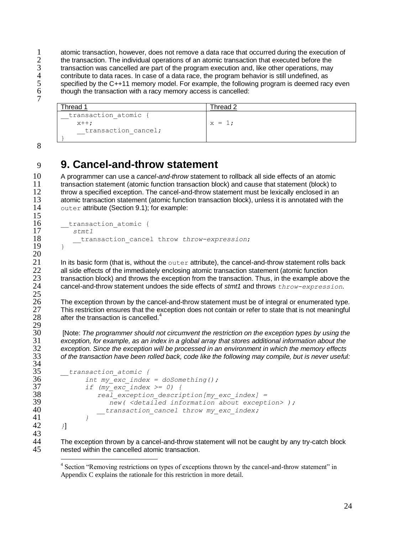1 atomic transaction, however, does not remove a data race that occurred during the execution of<br>2 the transaction. The individual operations of an atomic transaction that executed before the 2 the transaction. The individual operations of an atomic transaction that executed before the<br>3 transaction was cancelled are part of the program execution and. like other operations, may 3 transaction was cancelled are part of the program execution and, like other operations, may<br>4 contribute to data races. In case of a data race, the program behavior is still undefined, as 4 contribute to data races. In case of a data race, the program behavior is still undefined, as<br>5 specified by the C++11 memory model. For example, the following program is deemed rac 5 specified by the C++11 memory model. For example, the following program is deemed racy even though the transaction with a racy memory access is cancelled: though the transaction with a racy memory access is cancelled: 7

Thread 1 and 1 and 2 and 2 and 2 and 2 and 2 and 2 and 2 and 2 and 2 and 2 and 2 and 2 and 2 and 2 and 2 and 2 and 2 and 2 and 2 and 2 and 2 and 2 and 2 and 2 and 2 and 2 and 2 and 2 and 2 and 2 and 2 and 2 and 2 and 2 and transaction atomic {  $x++;$ transaction cancel; }  $x = 1;$ 

## 9 **9. Cancel-and-throw statement**

10 A programmer can use a *cancel-and-throw* statement to rollback all side effects of an atomic 11 transaction statement (atomic function transaction block) and cause that statement (block) to<br>12 throw a specified exception. The cancel-and-throw statement must be lexically enclosed in an 12 throw a specified exception. The cancel-and-throw statement must be lexically enclosed in an<br>13 the atomic transaction statement (atomic function transaction block), unless it is annotated with the 13 atomic transaction statement (atomic function transaction block), unless it is annotated with the  $14 - 8.015$  example: outer attribute (Section [9.1\)](#page-24-0); for example:  $\frac{15}{16}$ 

```
\frac{16}{17} ___transaction_atomic {
17 stmt1
       18 __transaction_cancel throw throw-expression;
```
21 In its basic form (that is, without the outer attribute), the cancel-and-throw statement rolls back<br>22 all side effects of the immediately enclosing atomic transaction statement (atomic function 22 all side effects of the immediately enclosing atomic transaction statement (atomic function  $23$  transaction block) and throws the exception from the transaction. Thus, in the example abo 23 transaction block) and throws the exception from the transaction. Thus, in the example above the cancel-and-throw statement undoes the side effects of  $s$ t and throws  $th$ row-expression. 24 cancel-and-throw statement undoes the side effects of *stmt1* and throws *throw-expression*.

26 The exception thrown by the cancel-and-throw statement must be of integral or enumerated type.<br>27 This restriction ensures that the exception does not contain or refer to state that is not meaningful This restriction ensures that the exception does not contain or refer to state that is not meaningful after the transaction is cancelled.<sup>4</sup>

 [Note: *The programmer should not circumvent the restriction on the exception types by using the exception, for example, as an index in a global array that stores additional information about the exception. Since the exception will be processed in an environment in which the memory effects of the transaction have been rolled back, code like the following may compile, but is never useful:*

```
35 __transaction_atomic {
36 int my_exc_index = doSomething();<br>37 if (my exc_index >= 0) {
37 if (my_exc_index >= 0) {
38 real_exception_description[my_exc_index] = 
39 new( <detailed information about exception> );
              transaction cancel throw my exc index;
41 }
42 }]
```
 $\overline{a}$ 

<span id="page-23-0"></span>8

19 }  $\frac{20}{21}$ 

 $\frac{25}{26}$ 

28  $\frac{29}{30}$ 

34<br>35

43

44 The exception thrown by a cancel-and-throw statement will not be caught by any try-catch block<br>45 enested within the cancelled atomic transaction. nested within the cancelled atomic transaction.

<sup>&</sup>lt;sup>4</sup> Section "Removing restrictions on types of exceptions thrown by the cancel-and-throw statement" in Appendix C explains the rationale for this restriction in more detail.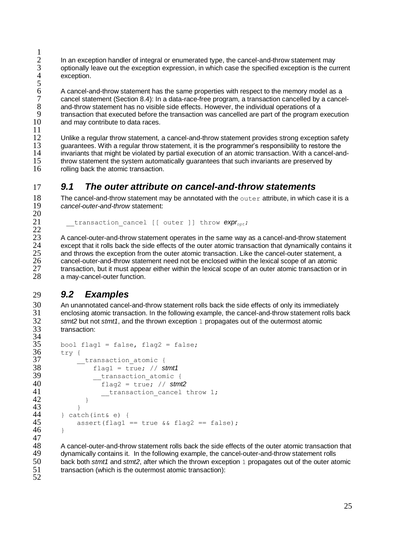$\frac{1}{2}$  $2$  In an exception handler of integral or enumerated type, the cancel-and-throw statement may<br>3 optionally leave out the exception expression, in which case the specified exception is the cu 3 optionally leave out the exception expression, in which case the specified exception is the current exception.

5<br>6<br>7 6 A cancel-and-throw statement has the same properties with respect to the memory model as a 7 cancel statement (Section [8.4\)](#page-22-1): In a data-race-free program, a transaction cancelled by a cancel-<br>8 and-throw statement has no visible side effects. However, the individual operations of a 8 and-throw statement has no visible side effects. However, the individual operations of a<br>9 transaction that executed before the transaction was cancelled are part of the program of 9 transaction that executed before the transaction was cancelled are part of the program execution<br>10 and may contribute to data races. and may contribute to data races.

 $\frac{11}{12}$ 

12 Unlike a regular throw statement, a cancel-and-throw statement provides strong exception safety<br>13 The proportion of the analysis of the contraction of the programmer's responsibility to restore the 13 guarantees. With a regular throw statement, it is the programmer's responsibility to restore the<br>14 invariants that might be violated by partial execution of an atomic transaction. With a cancel-an 14 invariants that might be violated by partial execution of an atomic transaction. With a cancel-and-15 throw statement the system automatically guarantees that such invariants are preserved by<br>16 rolling back the atomic transaction rolling back the atomic transaction.

### <span id="page-24-0"></span>17 *9.1 The outer attribute on cancel-and-throw statements*

18 The cancel-and-throw statement may be annotated with the outer attribute, in which case it is a<br>19  $\frac{1}{2}$  cancel-outer-and-throw statement: 19 *cancel-outer-and-throw* statement:  $\frac{20}{21}$ 

 ${\color{orange}\perp}$ transaction\_cancel [[ outer ]] throw *expr<sub>opt</sub>*;

 $\frac{22}{23}$ 23 A cancel-outer-and-throw statement operates in the same way as a cancel-and-throw statement 24 except that it rolls back the side effects of the outer atomic transaction that dynamically contains except that it rolls back the side effects of the outer atomic transaction that dynamically contains it<br>25 and throws the exception from the outer atomic transaction. Like the cancel-outer statement, a 25 and throws the exception from the outer atomic transaction. Like the cancel-outer statement, a<br>26 cancel-outer-and-throw statement need not be enclosed within the lexical scope of an atomic 26 cancel-outer-and-throw statement need not be enclosed within the lexical scope of an atomic<br>27 transaction, but it must appear either within the lexical scope of an outer atomic transaction or 27 transaction, but it must appear either within the lexical scope of an outer atomic transaction or in<br>28 amay-cancel-outer function. a may-cancel-outer function.

### <span id="page-24-1"></span>29 *9.2 Examples*

30 An unannotated cancel-and-throw statement rolls back the side effects of only its immediately<br>31 enclosing atomic transaction. In the following example, the cancel-and-throw statement rolls ba 31 enclosing atomic transaction. In the following example, the cancel-and-throw statement rolls back<br>32 stmt2 but not stmt1, and the thrown exception 1 propagates out of the outermost atomic 32 *stmt2* but not *stmt1*, and the thrown exception 1 propagates out of the outermost atomic transaction:

```
\frac{34}{35}35 bool flag1 = false, flag2 = false;<br>36 trv {
\frac{36}{37} try {
37 __transaction_atomic {
38 flag1 = true; // stmt1
                    transaction atomic {
\begin{array}{ccc} 40 & \text{false} & \text{false} \\ 41 & \text{translation cancel} \end{array}transaction cancel throw 1;
42 }
\begin{array}{cc} 43 & & \text{ } \\ 44 & & \text{ } \\ 24 & & \text{ } \end{array}44 } catch(int& e) {
              assert(flag1 == true & file \_ 1 = 146 }
```
47<br>48 48 A cancel-outer-and-throw statement rolls back the side effects of the outer atomic transaction that 49 dynamically contains it. In the following example, the cancel-outer-and-throw statement rolls 49 dynamically contains it. In the following example, the cancel-outer-and-throw statement rolls<br>50 back both stmt1 and stmt2, after which the thrown exception 1 propagates out of the outer at 50 back both *stmt1* and *stmt2*, after which the thrown exception 1 propagates out of the outer atomic 51 transaction (which is the outermost atomic transaction): transaction (which is the outermost atomic transaction):

52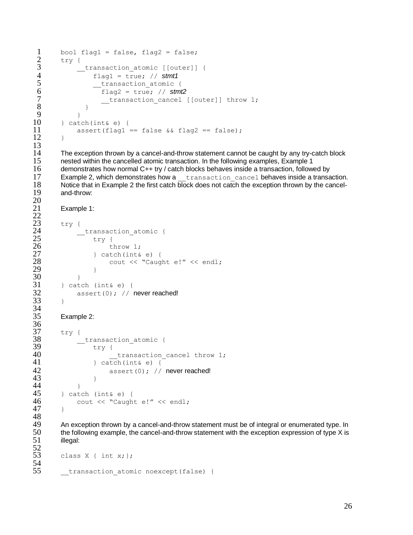```
\begin{array}{lll} 1 & \text{bool flag1 = false, flag2 = false;} \\ 2 & \text{try} \end{array}\frac{2}{3} try {
              transaction atomic [[outer]] {
 4 flag1 = true; // stmt1
 5 r = \frac{t \cdot \text{transaction\_atomic}}{\text{flag2} = \text{true}}6 flag2 = true; // stmt2
 7 __transaction_cancel [[outer]] throw 1;
 8 }
 9 }
10 } catch(int& e) {
            assert(flag1 == false & file \& flag2 == false);12 \rightarrow\frac{13}{14}
```
14 The exception thrown by a cancel-and-throw statement cannot be caught by any try-catch block<br>15 enested within the cancelled atomic transaction. In the following examples, Example 1 15 nested within the cancelled atomic transaction. In the following examples, Example 1<br>16 demonstrates how normal C++ try / catch blocks behaves inside a transaction. follow 16 demonstrates how normal C++ try / catch blocks behaves inside a transaction, followed by<br>17 Example 2 which demonstrates how a transaction, cancel behaves inside a transa 17 Example 2, which demonstrates how a <u>transaction cancel</u> behaves inside a transaction.<br>18 Notice that in Example 2 the first catch block does not catch the exception thrown by the cancel-18 Notice that in Example 2 the first catch block does not catch the exception thrown by the cancel-<br>19 and-throw: and-throw:

```
Example 1:
```
 $^{20}_{21}$ 

 $rac{22}{23}$ 

34<br>35

36<br>37

48<br>49

```
\begin{array}{cc} 23 & \text{try} & 0 \\ 24 & \end{array}24 __transaction_atomic {<br>25 try {
25 try {<br>26 try {
\begin{array}{ccc} 26 & & \text{throw 1;} \\ 27 & & \text{leatch (int.6)} \end{array}27 } catch(int& e) {<br>28 cout << "Caug
                                       cout << "Caught e!" << endl;
\overline{29} }
\begin{array}{ccc} 30 & & & \ & 31 & & \ & & \text{24} \\ 31 & & & \text{25} \end{array}\begin{array}{ccc} 31 & \text{32} \\ 32 & \text{338} \\ 332 & \text{3100} \end{array} (1); //
                      assert(0); // never reached!
33 }
```

```
Example 2:
```

```
37 try {
38 __transaction_atomic {
39 try {<br>40
                              transaction cancel throw 1;
41 } catch(int& e) {
42 assert(0); // never reached!
43 }
\begin{array}{cc} 44 & & & \text{ } \\ 45 & & \text{ } \\ 45 & & \end{array} cat
\begin{array}{lll} 45 & \text{3} & \text{3} \\ 46 & \text{4} & \text{2} \\ 46 & \text{4} & \text{4} \\ \end{array} (int& e) {
               cout << "Caught e!" << endl;
47 }
```
49 An exception thrown by a cancel-and-throw statement must be of integral or enumerated type. In <br>50 the following example, the cancel-and-throw statement with the exception expression of type X is 50 the following example, the cancel-and-throw statement with the exception expression of type  $X$  is  $51$  illegal: illegal:

```
52<br>53
        class X \{ int x; \};54<br>55
        transaction atomic noexcept(false) {
```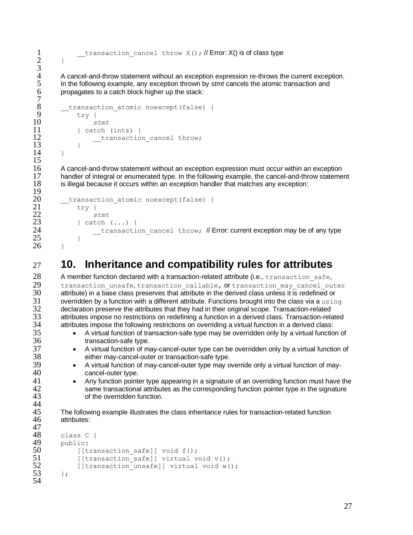1 **transaction** cancel throw X(); // Error: X() is of class type

4 A cancel-and-throw statement without an exception expression re-throws the current exception.<br>5 In the following example, any exception thrown by *stmt* cancels the atomic transaction and 5 In the following example, any exception thrown by *stmt* cancels the atomic transaction and propagates to a catch block higher up the stack: propagates to a catch block higher up the stack:

```
transaction atomic noexcept(false) {
\begin{array}{cc} 9 & -7 \ \end{array} try {
10 stmt
11 } catch (int&) {<br>12 } transactio
                transaction cancel throw;
13 }
14 }
```
 $2 \rightarrow$ 

 $\frac{3}{4}$ 

 $\frac{7}{8}$ 

 $\frac{15}{16}$ 

 $\frac{19}{20}$ 

44<br>45

16 A cancel-and-throw statement without an exception expression must occur within an exception<br>17 handler of integral or enumerated type. In the following example, the cancel-and-throw stateme handler of integral or enumerated type. In the following example, the cancel-and-throw statement 18 is illegal because it occurs within an exception handler that matches any exception:

```
20 __transaction_atomic noexcept(false) {<br>21 ____trv {
\begin{array}{ccc} 21 & & \text{try } \{ \\ 22 & & \text{sy} \end{array}22 stmt
              23 } catch (...) {
24 Example 1 transaction cancel throw; // Error: current exception may be of any type
25 }
26 }
```
## <span id="page-26-0"></span>27 **10. Inheritance and compatibility rules for attributes**

28 A member function declared with a transaction-related attribute (i.e., transaction\_safe,<br>29 transaction unsafe, transaction callable, or transaction may cancel our transaction unsafe, transaction callable, or transaction may cancel outer 30 attribute) in a base class preserves that attribute in the derived class unless it is redefined or<br>31 overridden by a function with a different attribute. Functions brought into the class via a usin  $31$  overridden by a function with a different attribute. Functions brought into the class via a using  $32$  declaration preserve the attributes that they had in their original scope. Transaction-related 32 declaration preserve the attributes that they had in their original scope. Transaction-related<br>33 detributes impose no restrictions on redefining a function in a derived class. Transaction-related 33 attributes impose no restrictions on redefining a function in a derived class. Transaction-related<br>34 attributes impose the following restrictions on overriding a virtual function in a derived class: 34 attributes impose the following restrictions on overriding a virtual function in a derived class:<br>35 • A virtual function of transaction-safe type may be overridden only by a virtual function

- A virtual function of transaction-safe type may be overridden only by a virtual function of 36 transaction-safe type.
- <sup>37</sup> A virtual function of may-cancel-outer type can be overridden only by a virtual function of 38 38 either may-cancel-outer or transaction-safe type.<br>39 • A virtual function of may-cancel-outer type may o
- 39 A virtual function of may-cancel-outer type may override only a virtual function of may-<br>40 cancel-outer type.
- 41 Any function pointer type appearing in a signature of an overriding function must have the 42 42 same transactional attributes as the corresponding function pointer type in the signature<br>43 of the overridden function. of the overridden function.
- 45 The following example illustrates the class inheritance rules for transaction-related function<br>46 tatributes: attributes:

```
47
48 class C {<br>49 public:
49 public:<br>50 [[t
50 [[transaction_safe]] void f();<br>51            [[transaction_safe]] virtual v
51 [[transaction_safe]] virtual void v();<br>52 [[transaction_unsafe]] virtual void w(
                 [[transaction unsafe]] virtual void w();
53 \, };
54
```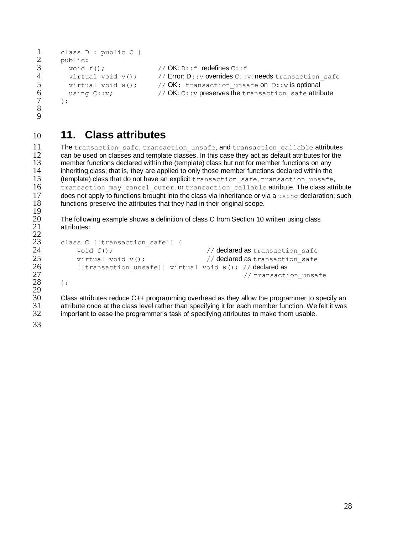```
1 class D : public C {<br>2 public:
\frac{2}{3} public:<br>\frac{2}{3} void:
\begin{array}{lll} 3 & \text{void f();} & // OK: \mathbb{D}: : f \text{ redefines C}: : f \\ 4 & \text{virtual void v();} & // Error: \mathbb{D}: : v \text{ overrides C}: : \end{array}virtual void v(); \frac{1}{2} // Error: D::v overrides C::v; needs transaction safe
5 virtual void w(); // OK: transaction_unsafe on D::w is optional<br>6 using C::v; // OK: C::v preserves the transaction safe attric
6 using C::v; \frac{1}{2} // OK: C::v preserves the transaction_safe attribute \frac{1}{2}};
8
9
```
### <span id="page-27-0"></span>10 **11. Class attributes**

11 The transaction\_safe, transaction\_unsafe, and transaction\_callable attributes<br>12 can be used on classes and template classes in this case they act as default attributes for the 12 can be used on classes and template classes. In this case they act as default attributes for the<br>13 member functions declared within the (template) class but not for member functions on any 13 member functions declared within the (template) class but not for member functions on any<br>14 inheriting class: that is, they are applied to only those member functions declared within the inheriting class; that is, they are applied to only those member functions declared within the 15 (template) class that do not have an explicit transaction safe, transaction unsafe, 16 transaction may cancel outer, or transaction callable attribute. The class attribute 17 does not apply to functions brought into the class via inheritance or via a using declaration; such 18 functions preserve the attributes that they had in their original scope.  $\frac{19}{20}$ 

20 The following example shows a definition of class C from Section [10](#page-26-0) written using class 21 attributes: attributes:

```
class C [[transaction safe]] {
24 void f();<br>25 virtual void v(); 25 // declared as transaction_safe
            virtual void v(); \frac{1}{2} // declared as transaction safe
26 [[transaction_unsafe]] virtual void w(); // declared as<br>27 // transaction_1/
                                                          // transaction unsafe
\overline{28} };
```
 $\frac{29}{30}$ 30 Class attributes reduce C++ programming overhead as they allow the programmer to specify an 31 attribute once at the class level rather than specifying it for each member function. We felt it was 31 attribute once at the class level rather than specifying it for each member function. We felt it was<br>32 important to ease the programmer's task of specifying attributes to make them usable. important to ease the programmer's task of specifying attributes to make them usable.

33

 $\frac{22}{23}$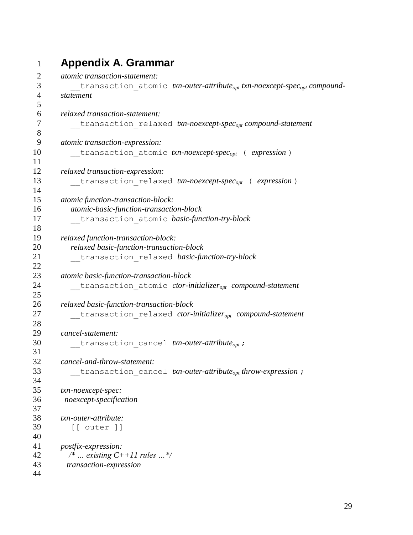### <span id="page-28-0"></span> **Appendix A. Grammar** *atomic transaction-statement:* \_\_transaction\_atomic *txn-outer-attributeopt txn-noexcept-specopt compound- statement relaxed transaction-statement:* \_\_transaction\_relaxed *txn-noexcept-specopt compound-statement atomic transaction-expression:* \_\_transaction\_atomic *txn-noexcept-specopt* ( *expression* ) *relaxed transaction-expression:* \_\_transaction\_relaxed *txn-noexcept-specopt* ( *expression* ) *atomic function-transaction-block: atomic-basic-function-transaction-block* \_\_transaction\_atomic *basic-function-try-block relaxed function-transaction-block: relaxed basic-function-transaction-block* \_\_transaction\_relaxed *basic-function-try-block atomic basic-function-transaction-block* \_\_transaction\_atomic *ctor-initializeropt compound-statement relaxed basic-function-transaction-block* \_\_transaction\_relaxed *ctor-initializeropt compound-statement cancel-statement:* \_\_transaction\_cancel *txn-outer-attributeopt* ; *cancel-and-throw-statement:* \_\_transaction\_cancel *txn-outer-attributeopt throw-expression* ; *txn-noexcept-spec: noexcept-specification txn-outer-attribute:* [[ outer ]] *postfix-expression: /\* … existing C++11 rules …\*/ transaction-expression*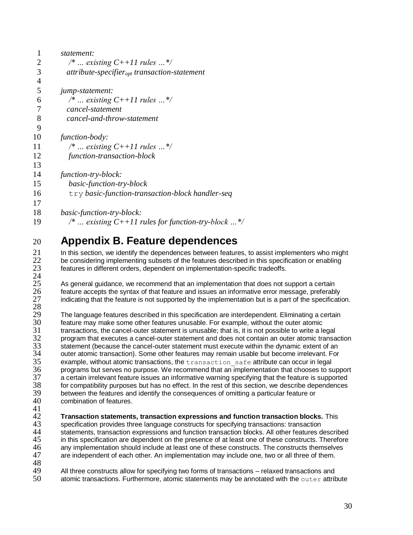| 1              | statement:                                               |
|----------------|----------------------------------------------------------|
| $\overline{2}$ | /*  existing $C+11$ rules */                             |
| 3              | $attribute\text{-}specificr_{opt}$ transaction-statement |
| $\overline{4}$ |                                                          |
| 5              | jump-statement:                                          |
| 6              | /*  existing $C+11$ rules */                             |
| 7              | cancel-statement                                         |
| 8              | cancel-and-throw-statement                               |
| 9              |                                                          |
| 10             | function-body:                                           |
| 11             | /*  existing $C+11$ rules */                             |
| 12             | function-transaction-block                               |
| 13             |                                                          |
| 14             | function-try-block:                                      |
| 15             | basic-function-try-block                                 |
| 16             | try basic-function-transaction-block handler-seq         |
| 17             |                                                          |
| 18             | basic-function-try-block:                                |
| 19             | /*  existing $C+11$ rules for function-try-block  */     |

# <span id="page-29-0"></span>20 **Appendix B. Feature dependences**

21 In this section, we identify the dependences between features, to assist implementers who might<br>22 be considering implementing subsets of the features described in this specification or enabling 22 be considering implementing subsets of the features described in this specification or enabling<br>23 features in different orders, dependent on implementation-specific tradeoffs. features in different orders, dependent on implementation-specific tradeoffs.

 $\frac{24}{25}$ 25 As general guidance, we recommend that an implementation that does not support a certain<br>26 feature accepts the syntax of that feature and issues an informative error message, preferably 26 feature accepts the syntax of that feature and issues an informative error message, preferably 27 indicating that the feature is not supported by the implementation but is a part of the specification.

28 29 The language features described in this specification are interdependent. Eliminating a certain<br>30 feature may make some other features unusable. For example, without the outer atomic 30 feature may make some other features unusable. For example, without the outer atomic 31 transactions, the cancel-outer statement is unusable; that is, it is not possible to write a legal<br>32 program that executes a cancel-outer statement and does not contain an outer atomic transa 32 program that executes a cancel-outer statement and does not contain an outer atomic transaction<br>33 statement (because the cancel-outer statement must execute within the dynamic extent of an 33 statement (because the cancel-outer statement must execute within the dynamic extent of an<br>34 outer atomic transaction). Some other features may remain usable but become irrelevant. For 34 outer atomic transaction). Some other features may remain usable but become irrelevant. For  $35$  example, without atomic transactions, the transaction safe attribute can occur in legal  $35$  example, without atomic transactions, the  $transaction\_safe$  attribute can occur in legal  $36$  programs but serves no purpose. We recommend that an implementation that chooses to su 36 programs but serves no purpose. We recommend that an implementation that chooses to support 37 a certain irrelevant feature issues an informative warning specifying that the feature is supported 37 a certain irrelevant feature issues an informative warning specifying that the feature is supported<br>38 for compatibility purposes but has no effect. In the rest of this section, we describe dependences 38 for compatibility purposes but has no effect. In the rest of this section, we describe dependences 39 between the features and identify the consequences of omitting a particular feature or <br>40 combination of features. combination of features.

 $\frac{41}{42}$ 42 **Transaction statements, transaction expressions and function transaction blocks.** This 43 specification provides three language constructs for specifying transactions: transaction<br>44 statements, transaction expressions and function transaction blocks. All other features d 44 statements, transaction expressions and function transaction blocks. All other features described<br>45 in this specification are dependent on the presence of at least one of these constructs. Therefore 45 in this specification are dependent on the presence of at least one of these constructs. Therefore 46 any implementation should include at least one of these constructs. The constructs themselves 46 any implementation should include at least one of these constructs. The constructs themselves<br>47 are independent of each other. An implementation may include one, two or all three of them. are independent of each other. An implementation may include one, two or all three of them.

48<br>49 49 All three constructs allow for specifying two forms of transactions – relaxed transactions and  $50$  atomic transactions. Furthermore, atomic statements may be annotated with the outter attritional atomic transactions. Furthermore, atomic statements may be annotated with the  $\text{outer}$  attribute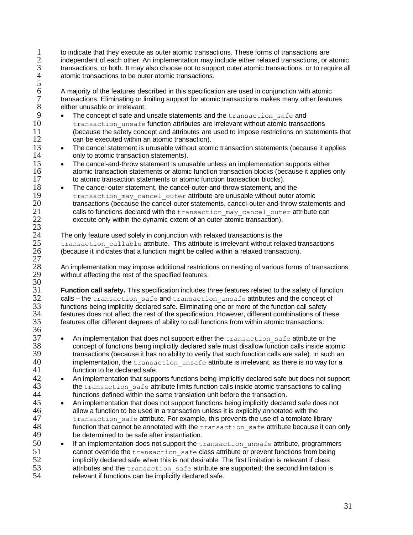- 1 to indicate that they execute as outer atomic transactions. These forms of transactions are<br>2 independent of each other. An implementation may include either relaxed transactions, or a 2 independent of each other. An implementation may include either relaxed transactions, or atomic 3 transactions, or both. It may also choose not to support outer atomic transactions, or to require all atomic transactions to be outer atomic transactions. atomic transactions to be outer atomic transactions.
- 5<br>6<br>7 6 A majority of the features described in this specification are used in conjunction with atomic 7 transactions. Eliminating or limiting support for atomic transactions makes many other features<br>8 either unusable or irrelevant: either unusable or irrelevant:
- 9 The concept of safe and unsafe statements and the transaction\_safe and<br>10 transaction unsafe function attributes are irrelevant without atomic transaction 10 transaction\_unsafe function attributes are irrelevant without atomic transactions<br>11 (because the safety concept and attributes are used to impose restrictions on stateme (because the safety concept and attributes are used to impose restrictions on statements that 12 can be executed within an atomic transaction).<br>13 • The cancel statement is unusable without atom
- 13 **The cancel statement is unusable without atomic transaction statements (because it applies** only to atomic transaction statements). 14 only to atomic transaction statements).<br>15 • The cancel-and-throw statement is unu
- 15 **The cancel-and-throw statement is unusable unless an implementation supports either**<br>16 **the atomic transaction statements or atomic function transaction blocks (because it applies** 16 atomic transaction statements or atomic function transaction blocks (because it applies only<br>17 both of the transaction statements or atomic function transaction blocks) to atomic transaction statements or atomic function transaction blocks).
- 18 The cancel-outer statement, the cancel-outer-and-throw statement, and the 19 transaction\_may\_cancel\_outer attribute are unusable without outer atomic<br>20 transactions (because the cancel-outer statements, cancel-outer-and-throw staten 20 transactions (because the cancel-outer statements, cancel-outer-and-throw statements and  $21$  calls to functions declared with the transaction may cancel outer attribute can 21 calls to functions declared with the transaction\_may\_cancel\_outer attribute can<br>22 execute only within the dynamic extent of an outer atomic transaction). execute only within the dynamic extent of an outer atomic transaction).  $\frac{23}{24}$
- 24 The only feature used solely in conjunction with relaxed transactions is the  $25$  transaction callable attribute. This attribute is irrelevant without rela  $25$  transaction\_callable attribute. This attribute is irrelevant without relaxed transactions  $26$  (because it indicates that a function might be called within a relaxed transaction). 26 (because it indicates that a function might be called within a relaxed transaction).

 $\frac{27}{28}$ 

 $\frac{30}{31}$ 

36

28 An implementation may impose additional restrictions on nesting of various forms of transactions<br>29 without affecting the rest of the specified features. without affecting the rest of the specified features.

**Function call safety.** This specification includes three features related to the safety of function<br>32 calls – the transaction safe and transaction unsafe attributes and the concept of 32 calls – the transaction\_safe and transaction\_unsafe attributes and the concept of<br>33 functions being implicitly declared safe. Eliminating one or more of the function call safety 33 functions being implicitly declared safe. Eliminating one or more of the function call safety<br>34 features does not affect the rest of the specification. However, different combinations of the 34 features does not affect the rest of the specification. However, different combinations of these<br>35 features offer different degrees of ability to call functions from within atomic transactions: features offer different degrees of ability to call functions from within atomic transactions:

- 37 An implementation that does not support either the transaction safe attribute or the 38 concept of functions being implicitly declared safe must disallow function calls inside atomic  $39$  transactions (because it has no ability to verify that such function calls are safe). In such an  $40$  implementation, the transaction unsafe attribute is irrelevant, as there is no way for a implementation, the transaction unsafe attribute is irrelevant, as there is no way for a 41 function to be declared safe.
- 42 An implementation that supports functions being implicitly declared safe but does not support<br>43 the transaction safe attribute limits function calls inside atomic transactions to calling  $43$  the transaction\_safe attribute limits function calls inside atomic transactions to calling  $44$  functions defined within the same translation unit before the transaction. 44 functions defined within the same translation unit before the transaction.<br>45 • An implementation that does not support functions being implicitly declared
- 45 An implementation that does not support functions being implicitly declared safe does not allow a function to be used in a transaction unless it is explicitly annotated with the 46 allow a function to be used in a transaction unless it is explicitly annotated with the<br>47 transaction safe attribute. For example, this prevents the use of a template lib transaction safe attribute. For example, this prevents the use of a template library 48 function that cannot be annotated with the  $transaction\_safe$  attribute because it can only the determined to be safe after instantiation. be determined to be safe after instantiation.
- 50 If an implementation does not support the transaction\_unsafe attribute, programmers 51 cannot override the transaction\_safe class attribute or prevent functions from being<br>52 implicitly declared safe when this is not desirable. The first limitation is relevant if class  $52$  implicitly declared safe when this is not desirable. The first limitation is relevant if class attributes and the transaction safe attribute are supported: the second limitation is 53 attributes and the transaction safe attribute are supported; the second limitation is  $54$  relevant if functions can be implicitly declared safe. relevant if functions can be implicitly declared safe.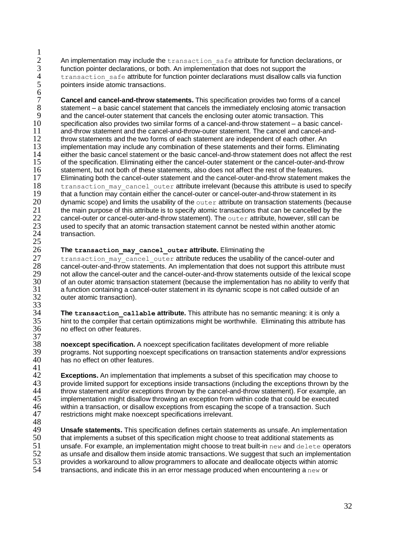$\frac{1}{2}$ 2 An implementation may include the  $transaction\_safe$  attribute for function declarations, or  $3$  function pointer declarations, or both. An implementation that does not support the 3 function pointer declarations, or both. An implementation that does not support the transaction safe attribute for function pointer declarations must disallow calls 4 transaction\_safe attribute for function pointer declarations must disallow calls via function<br>5 opinters inside atomic transactions. pointers inside atomic transactions.

6 7 **Cancel and cancel-and-throw statements.** This specification provides two forms of a cancel<br>8 statement – a basic cancel statement that cancels the immediately enclosing atomic transaction 8 statement – a basic cancel statement that cancels the immediately enclosing atomic transaction<br>9 and the cancel-outer statement that cancels the enclosing outer atomic transaction. This 9 and the cancel-outer statement that cancels the enclosing outer atomic transaction. This 10 specification also provides two similar forms of a cancel-and-throw statement – a basic c 10 specification also provides two similar forms of a cancel-and-throw statement – a basic cancel-<br>11 and-throw statement and the cancel-and-throw-outer statement. The cancel and cancel-and-11 and-throw statement and the cancel-and-throw-outer statement. The cancel and cancel-and-<br>12 throw statements and the two forms of each statement are independent of each other. An 12 throw statements and the two forms of each statement are independent of each other. An <br>13 implementation may include any combination of these statements and their forms. Flimina 13 implementation may include any combination of these statements and their forms. Eliminating 14 either the basic cancel statement or the basic cancel-and-throw statement does not affect the 14 either the basic cancel statement or the basic cancel-and-throw statement does not affect the rest<br>15 of the specification. Eliminating either the cancel-outer statement or the cancel-outer-and-throw of the specification. Eliminating either the cancel-outer statement or the cancel-outer-and-throw 16 statement, but not both of these statements, also does not affect the rest of the features.<br>17 Eliminating both the cancel-outer statement and the cancel-outer-and-throw statement m 17 Eliminating both the cancel-outer statement and the cancel-outer-and-throw statement makes the<br>18 transaction may cancel outer attribute irrelevant (because this attribute is used to specify 18 transaction\_may\_cancel\_outer attribute irrelevant (because this attribute is used to specify<br>19 that a function may contain either the cancel-outer or cancel-outer-and-throw statement in its that a function may contain either the cancel-outer or cancel-outer-and-throw statement in its 20 dynamic scope) and limits the usability of the  $\circ$ uter attribute on transaction statements (because 21 the main purpose of this attribute is to specify atomic transactions that can be cancelled by the the main purpose of this attribute is to specify atomic transactions that can be cancelled by the 22 cancel-outer or cancel-outer-and-throw statement). The  $\text{outer}$  attribute, however, still can be  $23$  used to specify that an atomic transaction statement cannot be nested within another atomic 23 used to specify that an atomic transaction statement cannot be nested within another atomic<br>24 transaction. transaction.  $\frac{25}{26}$ 

#### 26 **The transaction\_may\_cancel\_outer attribute.** Eliminating the

37

27 transaction\_may\_cancel\_outer attribute reduces the usability of the cancel-outer and<br>28 cancel-outer-and-throw statements. An implementation that does not support this attribute mu 28 cancel-outer-and-throw statements. An implementation that does not support this attribute must<br>29 on the cancel-outer and the cancel-outer-and-throw statements outside of the lexical scop 29 not allow the cancel-outer and the cancel-outer-and-throw statements outside of the lexical scope<br>30 of an outer atomic transaction statement (because the implementation has no ability to verify that 30 of an outer atomic transaction statement (because the implementation has no ability to verify that 31 a function containing a cancel-outer statement in its dynamic scope is not called outside of an 31 a function containing a cancel-outer statement in its dynamic scope is not called outside of an outer atomic transaction). outer atomic transaction). 33<br>34

34 **The transaction\_callable attribute.** This attribute has no semantic meaning: it is only a 35 hint to the compiler that certain optimizations might be worthwhile. Eliminating this attribute has no effect on other features.

**noexcept specification.** A noexcept specification facilitates development of more reliable<br>39 **become a not supporting poexcept specifications on transaction statements and/or expres** 39 programs. Not supporting noexcept specifications on transaction statements and/or expressions 40 has no effect on other features. has no effect on other features.

 $\frac{41}{42}$ **Exceptions.** An implementation that implements a subset of this specification may choose to 43 reprovide limited support for exceptions inside transactions (including the exceptions thrown by 43 provide limited support for exceptions inside transactions (including the exceptions thrown by the 44 throw statement and/or exceptions thrown by the cancel-and-throw statement). For example, an throw statement and/or exceptions thrown by the cancel-and-throw statement). For example, an  $45$  implementation might disallow throwing an exception from within code that could be executed implementation might disallow throwing an exception from within code that could be executed 46 within a transaction, or disallow exceptions from escaping the scope of a transaction. Such 47 restrictions might make noexcept specifications irrelevant. restrictions might make noexcept specifications irrelevant.

48<br>49 49 **Unsafe statements.** This specification defines certain statements as unsafe. An implementation <br>50 that implements a subset of this specification might choose to treat additional statements as 50 that implements a subset of this specification might choose to treat additional statements as<br>51 unsafe. For example, an implementation might choose to treat built-in new and delete oper  $51$  unsafe. For example, an implementation might choose to treat built-in new and delete operators  $52$  as unsafe and disallow them inside atomic transactions. We suggest that such an implementation 52 as unsafe and disallow them inside atomic transactions. We suggest that such an implementation<br>53 original provides a workaround to allow programmers to allocate and deallocate objects within atomic 53 provides a workaround to allow programmers to allocate and deallocate objects within atomic<br>54 transactions and indicate this in an error message produced when encountering a new or transactions, and indicate this in an error message produced when encountering a  $new$  or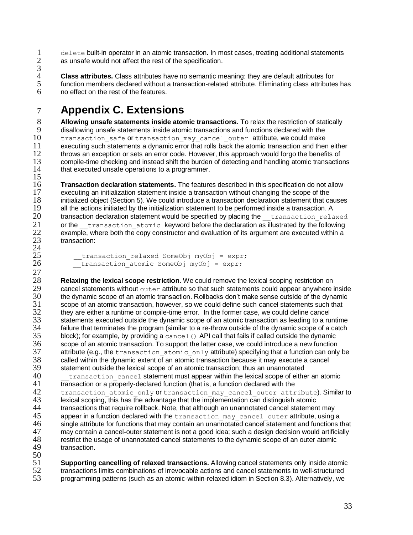$1$  delete built-in operator in an atomic transaction. In most cases, treating additional statements  $2$  as unsafe would not affect the rest of the specification. as unsafe would not affect the rest of the specification.  $\overline{3}$ <br>4

4 **Class attributes.** Class attributes have no semantic meaning: they are default attributes for 5 function members declared without a transaction-related attribute. Eliminating class attributes has no effect on the rest of the features.

# <span id="page-32-0"></span>7 **Appendix C. Extensions**

8 **Allowing unsafe statements inside atomic transactions.** To relax the restriction of statically<br>9 disallowing unsafe statements inside atomic transactions and functions declared with the 9 disallowing unsafe statements inside atomic transactions and functions declared with the<br>10 transaction safe of transaction may cancel outer attribute, we could make 10 transaction\_safe or transaction\_may\_cancel\_outer attribute, we could make<br>11 executing such statements a dynamic error that rolls back the atomic transaction and ther  $11$  executing such statements a dynamic error that rolls back the atomic transaction and then either  $12$  throws an exception or sets an error code. However, this approach would forgo the benefits of 12 throws an exception or sets an error code. However, this approach would forgo the benefits of<br>13 compile-time checking and instead shift the burden of detecting and handling atomic transaction 13 compile-time checking and instead shift the burden of detecting and handling atomic transactions 14 that executed unsafe operations to a programmer. that executed unsafe operations to a programmer.

 $\frac{15}{16}$ 16 **Transaction declaration statements.** The features described in this specification do not allow 17 executing an initialization statement inside a transaction without changing the scope of the 17 executing an initialization statement inside a transaction without changing the scope of the<br>18 initialized object (Section 5) We could introduce a transaction declaration statement that ca 18 initialized object (Section [5\)](#page-16-1). We could introduce a transaction declaration statement that causes<br>19 all the actions initiated by the initialization statement to be performed inside a transaction. A all the actions initiated by the initialization statement to be performed inside a transaction. A 20 transaction declaration statement would be specified by placing the <u>transaction</u> relaxed<br>21 or the transaction atomic keyword before the declaration as illustrated by the following 21 or the <u>transaction</u> atomic keyword before the declaration as illustrated by the following<br>22 example, where both the copy constructor and evaluation of its argument are executed within a example, where both the copy constructor and evaluation of its argument are executed within a<br>23 transaction: transaction:  $^{24}_{25}$ 

```
25 transaction_relaxed SomeObj myObj = expr;<br>26 transaction atomic SomeObj myObj = expr;
             transaction_atomic SomeObj myObj = expr;
```
 $\frac{27}{28}$ **Relaxing the lexical scope restriction.** We could remove the lexical scoping restriction on 29 cancel statements without out exact that such statements could appear anywhere i 29 cancel statements without  $\cot$  cuter attribute so that such statements could appear anywhere inside 30 the dynamic scope of an atomic transaction. Rollbacks don't make sense outside of the dynamic 30 the dynamic scope of an atomic transaction. Rollbacks don't make sense outside of the dynamic scope of an atomic transaction, however, so we could define such cancel statements such that 32 they are either a runtime or compile-time error. In the former case, we could define cancel 32 they are either a runtime or compile-time error. In the former case, we could define cancel<br>33 statements executed outside the dynamic scope of an atomic transaction as leading to a ru 33 statements executed outside the dynamic scope of an atomic transaction as leading to a runtime<br>34 failure that terminates the program (similar to a re-throw outside of the dynamic scope of a catch 34 failure that terminates the program (similar to a re-throw outside of the dynamic scope of a catch  $(35 - 1)$  block): for example, by providing a cance  $(1)$  API call that fails if called outside the dynamic block); for example, by providing a cancel () API call that fails if called outside the dynamic 36 scope of an atomic transaction. To support the latter case, we could introduce a new function 37 attribute (e.g., the transaction atomic only attribute) specifying that a function can only be 38 called within the dynamic extent of an atomic transaction because it may execute a cancel<br>39 statement outside the lexical scope of an atomic transaction: thus an unannotated 39 statement outside the lexical scope of an atomic transaction; thus an unannotated transaction cancel statement must appear within the lexical scope of either  $\frac{40}{41}$  transaction\_cancel statement must appear within the lexical scope of either an atomic<br>41 transaction or a properly-declared function (that is, a function declared with the  $\overline{\text{transaction}}$  or a properly-declared function (that is, a function declared with the 42 transaction atomic only or transaction may cancel outer attribute). Similar to 43 lexical scoping, this has the advantage that the implementation can distinguish atomic transactions that require rollback. Note, that although an unannotated cancel statement may<br>45 **hought a** function declared with the transaction may cancel outer attribute, using appear in a function declared with the transaction\_may\_cancel\_outer attribute, using a<br>46 approach attribute for functions that may contain an unannotated cancel statement and functions to 16 single attribute for functions that may contain an unannotated cancel statement and functions that<br>47 may contain a cancel-outer statement is not a good idea: such a design decision would artificially 47 may contain a cancel-outer statement is not a good idea; such a design decision would artificially restrict the usage of unannotated cancel statements to the dynamic scope of an outer atomic 48 restrict the usage of unannotated cancel statements to the dynamic scope of an outer atomic<br>49 rransaction. transaction.

 $\frac{50}{51}$ 51 **Supporting cancelling of relaxed transactions.** Allowing cancel statements only inside atomic<br>52 transactions limits combinations of irrevocable actions and cancel statements to well-structured 52 transactions limits combinations of irrevocable actions and cancel statements to well-structured<br>53 to programming patterns (such as an atomic-within-relaxed idiom in Section 8.3) Alternatively we 53 programming patterns (such as an atomic-within-relaxed idiom in Section [8.3\)](#page-22-0). Alternatively, we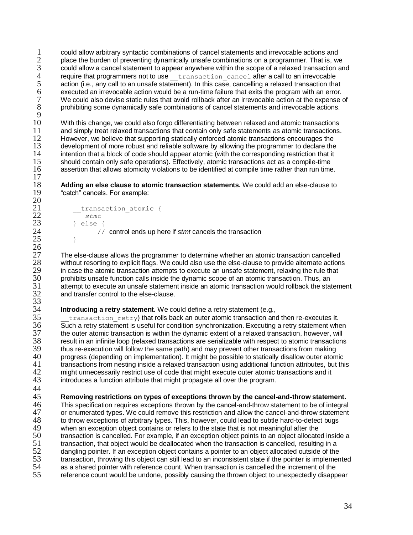1 could allow arbitrary syntactic combinations of cancel statements and irrevocable actions and<br>2 place the burden of preventing dynamically unsafe combinations on a programmer. That is, we place the burden of preventing dynamically unsafe combinations on a programmer. That is, we<br>3 could allow a cancel statement to appear anywhere within the scope of a relaxed transaction an  $3$  could allow a cancel statement to appear anywhere within the scope of a relaxed transaction and require that programmers not to use  $\frac{1}{2}$  transaction cancel after a call to an irrevocable  $4$  require that programmers not to use  $\_$  transaction cancel after a call to an irrevocable  $5$  action (i.e., any call to an unsafe statement). In this case, cancelling a relaxed transaction that 5 action (i.e., any call to an unsafe statement). In this case, cancelling a relaxed transaction that  $6$  executed an irrevocable action would be a run-time failure that exits the program with an error. 6 executed an irrevocable action would be a run-time failure that exits the program with an error.<br>
7 We could also devise static rules that avoid rollback after an irrevocable action at the expense of 7 We could also devise static rules that avoid rollback after an irrevocable action at the expense of prohibiting some dynamically safe combinations of cancel statements and irrevocable actions. prohibiting some dynamically safe combinations of cancel statements and irrevocable actions.

 $\frac{9}{10}$ 10 With this change, we could also forgo differentiating between relaxed and atomic transactions<br>11 and simply treat relaxed transactions that contain only safe statements as atomic transactions. 11 and simply treat relaxed transactions that contain only safe statements as atomic transactions.<br>12 However, we believe that supporting statically enforced atomic transactions encourages the 12 However, we believe that supporting statically enforced atomic transactions encourages the<br>13 development of more robust and reliable software by allowing the programmer to declare the 13 development of more robust and reliable software by allowing the programmer to declare the<br>14 intention that a block of code should appear atomic (with the corresponding restriction that it 14 intention that a block of code should appear atomic (with the corresponding restriction that it<br>15 should contain only safe operations). Effectively, atomic transactions act as a compile-time 15 should contain only safe operations). Effectively, atomic transactions act as a compile-time<br>16 sasertion that allows atomicity violations to be identified at compile time rather than run time assertion that allows atomicity violations to be identified at compile time rather than run time.  $\frac{17}{18}$ 

18 **Adding an else clause to atomic transaction statements.** We could add an else-clause to **19** the "catch" cancels. For example: "catch" cancels. For example:

```
21 __transaction_atomic {
22 stmt
23 } else {<br>24 //
               24 // control ends up here if stmt cancels the transaction
25 }
```
27 The else-clause allows the programmer to determine whether an atomic transaction cancelled<br>28 without resorting to explicit flags. We could also use the else-clause to provide alternate actions 28 without resorting to explicit flags. We could also use the else-clause to provide alternate actions<br>29 in case the atomic transaction attempts to execute an unsafe statement, relaxing the rule that 29 in case the atomic transaction attempts to execute an unsafe statement, relaxing the rule that <br>30 originity that function calls inside the dynamic scope of an atomic transaction. Thus, an 30 prohibits unsafe function calls inside the dynamic scope of an atomic transaction. Thus, an attempt to execute an unsafe statement inside an atomic transaction would rollback the sta 31 attempt to execute an unsafe statement inside an atomic transaction would rollback the statement<br>32 and transfer control to the else-clause. and transfer control to the else-clause.

# **14 Introducing a retry statement.** We could define a retry statement (e.g.,  $\frac{35}{25}$  transaction retry) that rolls back an outer atomic transaction and

 $transaction<sub>retry</sub>$ ) that rolls back an outer atomic transaction and then re-executes it. 36 Such a retry statement is useful for condition synchronization. Executing a retry statement when<br>37 the outer atomic transaction is within the dynamic extent of a relaxed transaction, however, will 37 the outer atomic transaction is within the dynamic extent of a relaxed transaction, however, will<br>38 second transactions are serializable with respect to atomic transactions 38 result in an infinite loop (relaxed transactions are serializable with respect to atomic transactions thus re-execution will follow the same path) and may prevent other transactions from making 39 thus re-execution will follow the same path) and may prevent other transactions from making<br>40 organization on implementation). It might be possible to statically disallow outer atom 40 progress (depending on implementation). It might be possible to statically disallow outer atomic<br>41 transactions from nesting inside a relaxed transaction using additional function attributes, but thi 41 transactions from nesting inside a relaxed transaction using additional function attributes, but this<br>42 might unnecessarily restrict use of code that might execute outer atomic transactions and it 42 might unnecessarily restrict use of code that might execute outer atomic transactions and it 43 introduces a function attribute that might propagate all over the program. introduces a function attribute that might propagate all over the program.

 $\frac{44}{45}$ 

 $^{20}_{21}$ 

 $\frac{26}{27}$ 

 $\frac{33}{34}$ 

45 **Removing restrictions on types of exceptions thrown by the cancel-and-throw statement.** 

46 This specification requires exceptions thrown by the cancel-and-throw statement to be of integral 47 or enumerated types. We could remove this restriction and allow the cancel-and-throw statement 47 or enumerated types. We could remove this restriction and allow the cancel-and-throw statement<br>48 to throw exceptions of arbitrary types. This, however, could lead to subtle hard-to-detect bugs 48 to throw exceptions of arbitrary types. This, however, could lead to subtle hard-to-detect bugs<br>49 when an exception object contains or refers to the state that is not meaningful after the 49 when an exception object contains or refers to the state that is not meaningful after the<br>50 transaction is cancelled. For example, if an exception object points to an object allocate 50 transaction is cancelled. For example, if an exception object points to an object allocated inside a<br>51 transaction, that object would be deallocated when the transaction is cancelled, resulting in a transaction, that object would be deallocated when the transaction is cancelled, resulting in a 52 dangling pointer. If an exception object contains a pointer to an object allocated outside of the<br>53 transaction, throwing this object can still lead to an inconsistent state if the pointer is implement 53 transaction, throwing this object can still lead to an inconsistent state if the pointer is implemented<br>54 as a shared pointer with reference count. When transaction is cancelled the increment of the 54 as a shared pointer with reference count. When transaction is cancelled the increment of the<br>55 reference count would be undone, possibly causing the thrown object to unexpectedly disapp reference count would be undone, possibly causing the thrown object to unexpectedly disappear